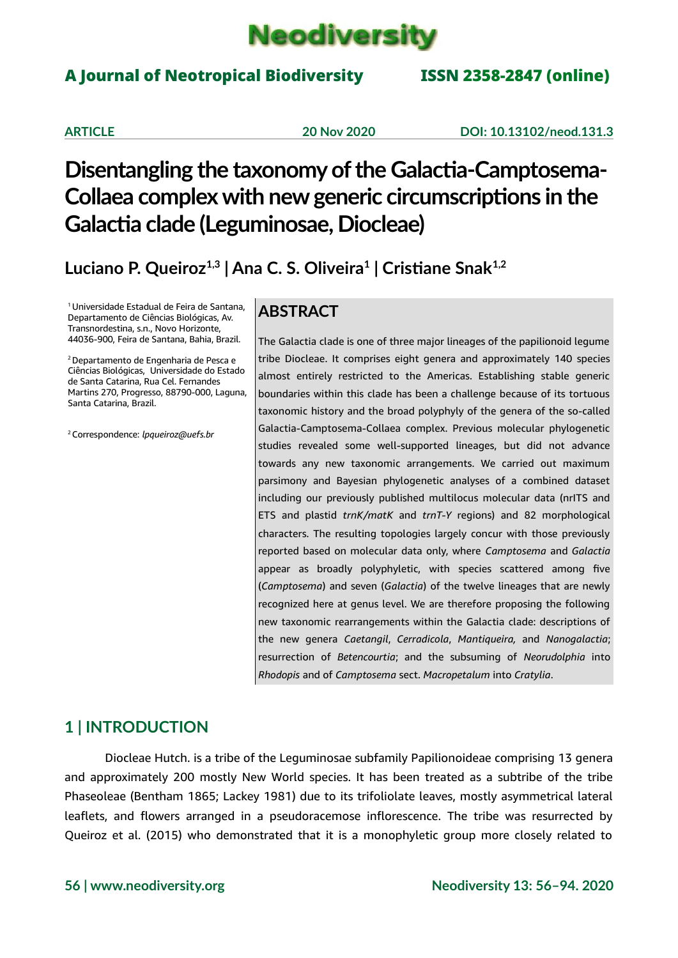

# A Journal of Neotropical Biodiversity ISSN 2358-2847 (online)

**ARTICLE 20 Nov 2020 DOI: 10.13102/neod.131.3**

# **Disentangling the taxonomy of the Galactia-Camptosema-Collaea complex with new generic circumscriptions in the Galactia clade (Leguminosae, Diocleae)**

**Luciano P. Queiroz1,3 | Ana C. S. Oliveira<sup>1</sup> | Cristiane Snak1,2**

<sup>1</sup> Universidade Estadual de Feira de Santana, Departamento de Ciências Biológicas, Av. Transnordestina, s.n., Novo Horizonte, 44036-900, Feira de Santana, Bahia, Brazil.

<sup>2</sup>Departamento de Engenharia de Pesca e Ciências Biológicas, Universidade do Estado de Santa Catarina, Rua Cel. Fernandes Martins 270, Progresso, 88790-000, Laguna, Santa Catarina, Brazil.

<sup>2</sup>Correspondence: *lpqueiroz@uefs.br*

## **ABSTRACT**

The Galactia clade is one of three major lineages of the papilionoid legume tribe Diocleae. It comprises eight genera and approximately 140 species almost entirely restricted to the Americas. Establishing stable generic boundaries within this clade has been a challenge because of its tortuous taxonomic history and the broad polyphyly of the genera of the so-called Galactia-Camptosema-Collaea complex. Previous molecular phylogenetic studies revealed some well-supported lineages, but did not advance towards any new taxonomic arrangements. We carried out maximum parsimony and Bayesian phylogenetic analyses of a combined dataset including our previously published multilocus molecular data (nrITS and ETS and plastid *trnK/matK* and *trnT-Y* regions) and 82 morphological characters. The resulting topologies largely concur with those previously reported based on molecular data only, where *Camptosema* and *Galactia* appear as broadly polyphyletic, with species scattered among five (*Camptosema*) and seven (*Galactia*) of the twelve lineages that are newly recognized here at genus level. We are therefore proposing the following new taxonomic rearrangements within the Galactia clade: descriptions of the new genera *Caetangil*, *Cerradicola*, *Mantiqueira,* and *Nanogalactia*; resurrection of *Betencourtia*; and the subsuming of *Neorudolphia* into *Rhodopis* and of *Camptosema* sect. *Macropetalum* into *Cratylia*.

## **1 | INTRODUCTION**

Diocleae Hutch. is a tribe of the Leguminosae subfamily Papilionoideae comprising 13 genera and approximately 200 mostly New World species. It has been treated as a subtribe of the tribe Phaseoleae (Bentham 1865; Lackey 1981) due to its trifoliolate leaves, mostly asymmetrical lateral leaflets, and flowers arranged in a pseudoracemose inflorescence. The tribe was resurrected by Queiroz et al. (2015) who demonstrated that it is a monophyletic group more closely related to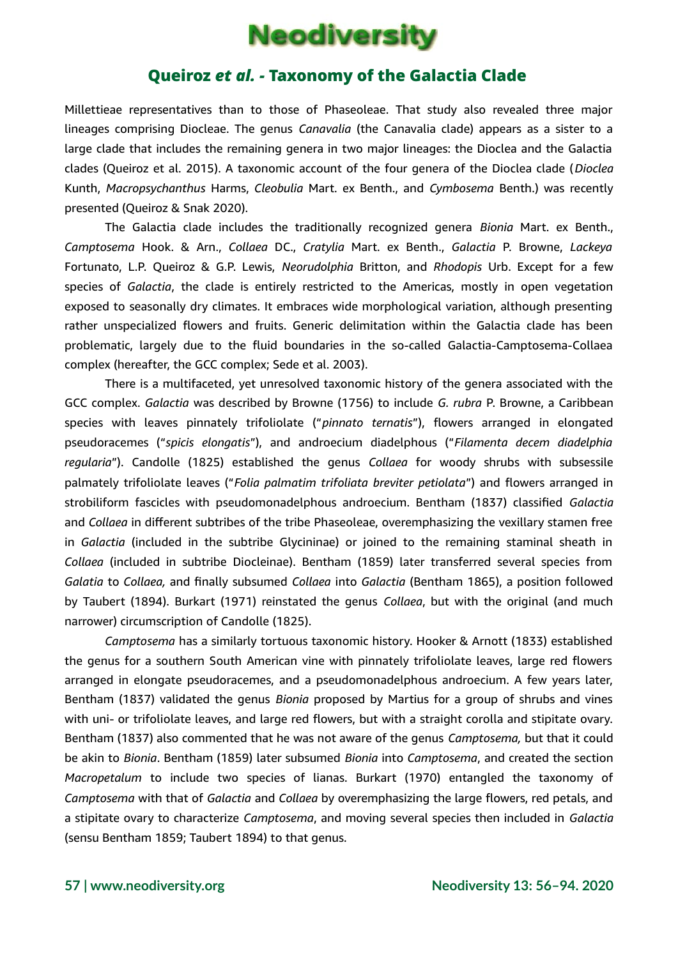## Queiroz *et al. -* Taxonomy of the Galactia Clade

Millettieae representatives than to those of Phaseoleae. That study also revealed three major lineages comprising Diocleae. The genus *Canavalia* (the Canavalia clade) appears as a sister to a large clade that includes the remaining genera in two major lineages: the Dioclea and the Galactia clades (Queiroz et al. 2015). A taxonomic account of the four genera of the Dioclea clade (*Dioclea* Kunth, *Macropsychanthus* Harms, *Cleobulia* Mart. ex Benth., and *Cymbosema* Benth.) was recently presented (Queiroz & Snak 2020).

The Galactia clade includes the traditionally recognized genera *Bionia* Mart. ex Benth., *Camptosema* Hook. & Arn., *Collaea* DC., *Cratylia* Mart. ex Benth., *Galactia* P. Browne, *Lackeya* Fortunato, L.P. Queiroz & G.P. Lewis, *Neorudolphia* Britton, and *Rhodopis* Urb. Except for a few species of *Galactia*, the clade is entirely restricted to the Americas, mostly in open vegetation exposed to seasonally dry climates. It embraces wide morphological variation, although presenting rather unspecialized flowers and fruits. Generic delimitation within the Galactia clade has been problematic, largely due to the fluid boundaries in the so-called Galactia-Camptosema-Collaea complex (hereafter, the GCC complex; Sede et al. 2003).

There is a multifaceted, yet unresolved taxonomic history of the genera associated with the GCC complex. *Galactia* was described by Browne (1756) to include *G. rubra* P. Browne, a Caribbean species with leaves pinnately trifoliolate ("*pinnato ternatis*"), flowers arranged in elongated pseudoracemes ("*spicis elongatis*"), and androecium diadelphous ("*Filamenta decem diadelphia regularia*"). Candolle (1825) established the genus *Collaea* for woody shrubs with subsessile palmately trifoliolate leaves ("*Folia palmatim trifoliata breviter petiolata*") and flowers arranged in strobiliform fascicles with pseudomonadelphous androecium. Bentham (1837) classified *Galactia* and *Collaea* in different subtribes of the tribe Phaseoleae, overemphasizing the vexillary stamen free in *Galactia* (included in the subtribe Glycininae) or joined to the remaining staminal sheath in *Collaea* (included in subtribe Diocleinae). Bentham (1859) later transferred several species from *Galatia* to *Collaea,* and finally subsumed *Collaea* into *Galactia* (Bentham 1865), a position followed by Taubert (1894). Burkart (1971) reinstated the genus *Collaea*, but with the original (and much narrower) circumscription of Candolle (1825).

*Camptosema* has a similarly tortuous taxonomic history. Hooker & Arnott (1833) established the genus for a southern South American vine with pinnately trifoliolate leaves, large red flowers arranged in elongate pseudoracemes, and a pseudomonadelphous androecium. A few years later, Bentham (1837) validated the genus *Bionia* proposed by Martius for a group of shrubs and vines with uni- or trifoliolate leaves, and large red flowers, but with a straight corolla and stipitate ovary. Bentham (1837) also commented that he was not aware of the genus *Camptosema,* but that it could be akin to *Bionia*. Bentham (1859) later subsumed *Bionia* into *Camptosema*, and created the section *Macropetalum* to include two species of lianas. Burkart (1970) entangled the taxonomy of *Camptosema* with that of *Galactia* and *Collaea* by overemphasizing the large flowers, red petals, and a stipitate ovary to characterize *Camptosema*, and moving several species then included in *Galactia* (sensu Bentham 1859; Taubert 1894) to that genus.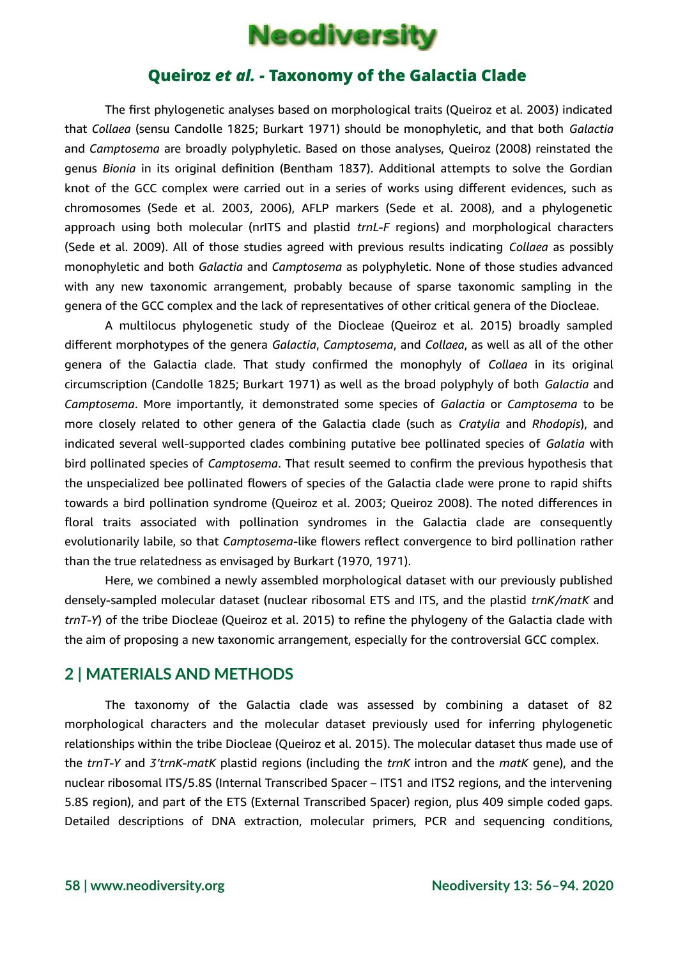# Queiroz *et al. -* Taxonomy of the Galactia Clade

The first phylogenetic analyses based on morphological traits (Queiroz et al. 2003) indicated that *Collaea* (sensu Candolle 1825; Burkart 1971) should be monophyletic, and that both *Galactia* and *Camptosema* are broadly polyphyletic. Based on those analyses, Queiroz (2008) reinstated the genus *Bionia* in its original definition (Bentham 1837). Additional attempts to solve the Gordian knot of the GCC complex were carried out in a series of works using different evidences, such as chromosomes (Sede et al. 2003, 2006), AFLP markers (Sede et al. 2008), and a phylogenetic approach using both molecular (nrITS and plastid *trnL-F* regions) and morphological characters (Sede et al. 2009). All of those studies agreed with previous results indicating *Collaea* as possibly monophyletic and both *Galactia* and *Camptosema* as polyphyletic. None of those studies advanced with any new taxonomic arrangement, probably because of sparse taxonomic sampling in the genera of the GCC complex and the lack of representatives of other critical genera of the Diocleae.

A multilocus phylogenetic study of the Diocleae (Queiroz et al. 2015) broadly sampled different morphotypes of the genera *Galactia*, *Camptosema*, and *Collaea*, as well as all of the other genera of the Galactia clade. That study confirmed the monophyly of *Collaea* in its original circumscription (Candolle 1825; Burkart 1971) as well as the broad polyphyly of both *Galactia* and *Camptosema*. More importantly, it demonstrated some species of *Galactia* or *Camptosema* to be more closely related to other genera of the Galactia clade (such as *Cratylia* and *Rhodopis*), and indicated several well-supported clades combining putative bee pollinated species of *Galatia* with bird pollinated species of *Camptosema*. That result seemed to confirm the previous hypothesis that the unspecialized bee pollinated flowers of species of the Galactia clade were prone to rapid shifts towards a bird pollination syndrome (Queiroz et al. 2003; Queiroz 2008). The noted differences in floral traits associated with pollination syndromes in the Galactia clade are consequently evolutionarily labile, so that *Camptosema*-like flowers reflect convergence to bird pollination rather than the true relatedness as envisaged by Burkart (1970, 1971).

Here, we combined a newly assembled morphological dataset with our previously published densely-sampled molecular dataset (nuclear ribosomal ETS and ITS, and the plastid *trnK/matK* and *trnT-Y*) of the tribe Diocleae (Queiroz et al. 2015) to refine the phylogeny of the Galactia clade with the aim of proposing a new taxonomic arrangement, especially for the controversial GCC complex.

## **2 | MATERIALS AND METHODS**

The taxonomy of the Galactia clade was assessed by combining a dataset of 82 morphological characters and the molecular dataset previously used for inferring phylogenetic relationships within the tribe Diocleae (Queiroz et al. 2015). The molecular dataset thus made use of the *trnT-Y* and *3'trnK-matK* plastid regions (including the *trnK* intron and the *matK* gene), and the nuclear ribosomal ITS/5.8S (Internal Transcribed Spacer – ITS1 and ITS2 regions, and the intervening 5.8S region), and part of the ETS (External Transcribed Spacer) region, plus 409 simple coded gaps. Detailed descriptions of DNA extraction, molecular primers, PCR and sequencing conditions,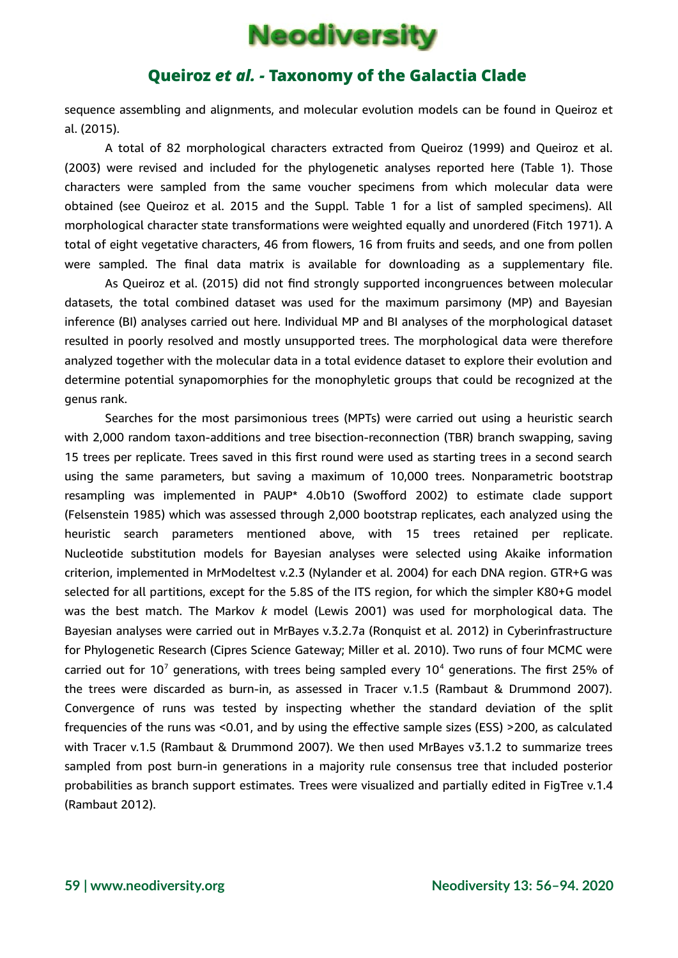# Queiroz *et al. -* Taxonomy of the Galactia Clade

sequence assembling and alignments, and molecular evolution models can be found in Queiroz et al. (2015).

A total of 82 morphological characters extracted from Queiroz (1999) and Queiroz et al. (2003) were revised and included for the phylogenetic analyses reported here (Table 1). Those characters were sampled from the same voucher specimens from which molecular data were obtained (see Queiroz et al. 2015 and the Suppl. Table 1 for a list of sampled specimens). All morphological character state transformations were weighted equally and unordered (Fitch 1971). A total of eight vegetative characters, 46 from flowers, 16 from fruits and seeds, and one from pollen were sampled. The final data matrix is available for downloading as a supplementary file.

As Queiroz et al. (2015) did not find strongly supported incongruences between molecular datasets, the total combined dataset was used for the maximum parsimony (MP) and Bayesian inference (BI) analyses carried out here. Individual MP and BI analyses of the morphological dataset resulted in poorly resolved and mostly unsupported trees. The morphological data were therefore analyzed together with the molecular data in a total evidence dataset to explore their evolution and determine potential synapomorphies for the monophyletic groups that could be recognized at the genus rank.

Searches for the most parsimonious trees (MPTs) were carried out using a heuristic search with 2,000 random taxon-additions and tree bisection-reconnection (TBR) branch swapping, saving 15 trees per replicate. Trees saved in this first round were used as starting trees in a second search using the same parameters, but saving a maximum of 10,000 trees. Nonparametric bootstrap resampling was implemented in PAUP\* 4.0b10 (Swofford 2002) to estimate clade support (Felsenstein 1985) which was assessed through 2,000 bootstrap replicates, each analyzed using the heuristic search parameters mentioned above, with 15 trees retained per replicate. Nucleotide substitution models for Bayesian analyses were selected using Akaike information criterion, implemented in MrModeltest v.2.3 (Nylander et al. 2004) for each DNA region. GTR+G was selected for all partitions, except for the 5.8S of the ITS region, for which the simpler K80+G model was the best match. The Markov *k* model (Lewis 2001) was used for morphological data. The Bayesian analyses were carried out in MrBayes v.3.2.7a (Ronquist et al. 2012) in Cyberinfrastructure for Phylogenetic Research (Cipres Science Gateway; Miller et al. 2010). Two runs of four MCMC were carried out for 10<sup>7</sup> generations, with trees being sampled every 10<sup>4</sup> generations. The first 25% of the trees were discarded as burn-in, as assessed in Tracer v.1.5 (Rambaut & Drummond 2007). Convergence of runs was tested by inspecting whether the standard deviation of the split frequencies of the runs was <0.01, and by using the effective sample sizes (ESS) >200, as calculated with Tracer v.1.5 (Rambaut & Drummond 2007). We then used MrBayes v3.1.2 to summarize trees sampled from post burn-in generations in a majority rule consensus tree that included posterior probabilities as branch support estimates. Trees were visualized and partially edited in FigTree v.1.4 (Rambaut 2012).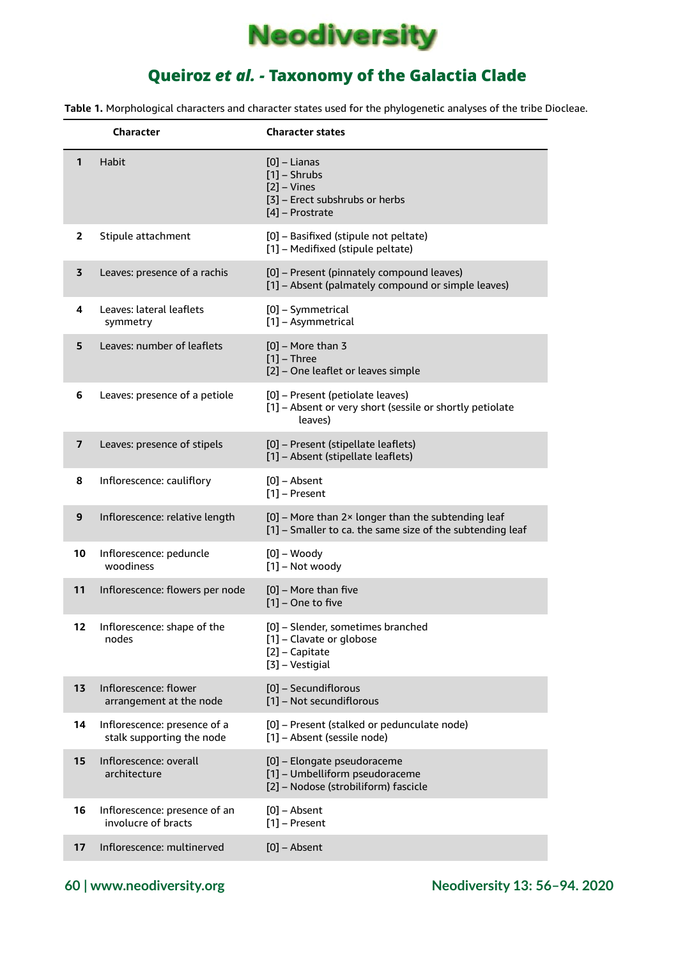

**Table 1.** Morphological characters and character states used for the phylogenetic analyses of the tribe Diocleae.

|                | Character                                                 | <b>Character states</b>                                                                                         |
|----------------|-----------------------------------------------------------|-----------------------------------------------------------------------------------------------------------------|
| 1              | Habit                                                     | $[0]$ – Lianas<br>$[1]$ – Shrubs<br>$[2]$ – Vines<br>[3] - Erect subshrubs or herbs<br>[4] - Prostrate          |
| $\overline{2}$ | Stipule attachment                                        | [0] - Basifixed (stipule not peltate)<br>[1] - Medifixed (stipule peltate)                                      |
| 3              | Leaves: presence of a rachis                              | [0] - Present (pinnately compound leaves)<br>[1] - Absent (palmately compound or simple leaves)                 |
| 4              | Leaves: lateral leaflets<br>symmetry                      | [0] - Symmetrical<br>[1] - Asymmetrical                                                                         |
| 5              | Leaves: number of leaflets                                | $[0]$ – More than 3<br>$[1]$ – Three<br>[2] - One leaflet or leaves simple                                      |
| 6              | Leaves: presence of a petiole                             | [0] - Present (petiolate leaves)<br>[1] - Absent or very short (sessile or shortly petiolate<br>leaves)         |
| $\overline{7}$ | Leaves: presence of stipels                               | [0] - Present (stipellate leaflets)<br>[1] - Absent (stipellate leaflets)                                       |
| 8              | Inflorescence: cauliflory                                 | $[0]$ – Absent<br>$[1]$ – Present                                                                               |
| 9              | Inflorescence: relative length                            | [0] - More than 2x longer than the subtending leaf<br>[1] - Smaller to ca. the same size of the subtending leaf |
| 10             | Inflorescence: peduncle<br>woodiness                      | $[0]$ – Woody<br>[1] - Not woody                                                                                |
| 11             | Inflorescence: flowers per node                           | [0] - More than five<br>$[1]$ – One to five                                                                     |
| 12             | Inflorescence: shape of the<br>nodes                      | [0] - Slender, sometimes branched<br>[1] - Clavate or globose<br>[2] - Capitate<br>[3] - Vestigial              |
| 13             | Inflorescence: flower<br>arrangement at the node          | [0] - Secundiflorous<br>[1] - Not secundiflorous                                                                |
| 14             | Inflorescence: presence of a<br>stalk supporting the node | [0] - Present (stalked or pedunculate node)<br>[1] - Absent (sessile node)                                      |
| 15             | Inflorescence: overall<br>architecture                    | [0] - Elongate pseudoraceme<br>[1] - Umbelliform pseudoraceme<br>[2] - Nodose (strobiliform) fascicle           |
| 16             | Inflorescence: presence of an<br>involucre of bracts      | $[0]$ – Absent<br>$[1]$ – Present                                                                               |
| 17             | Inflorescence: multinerved                                | $[0]$ – Absent                                                                                                  |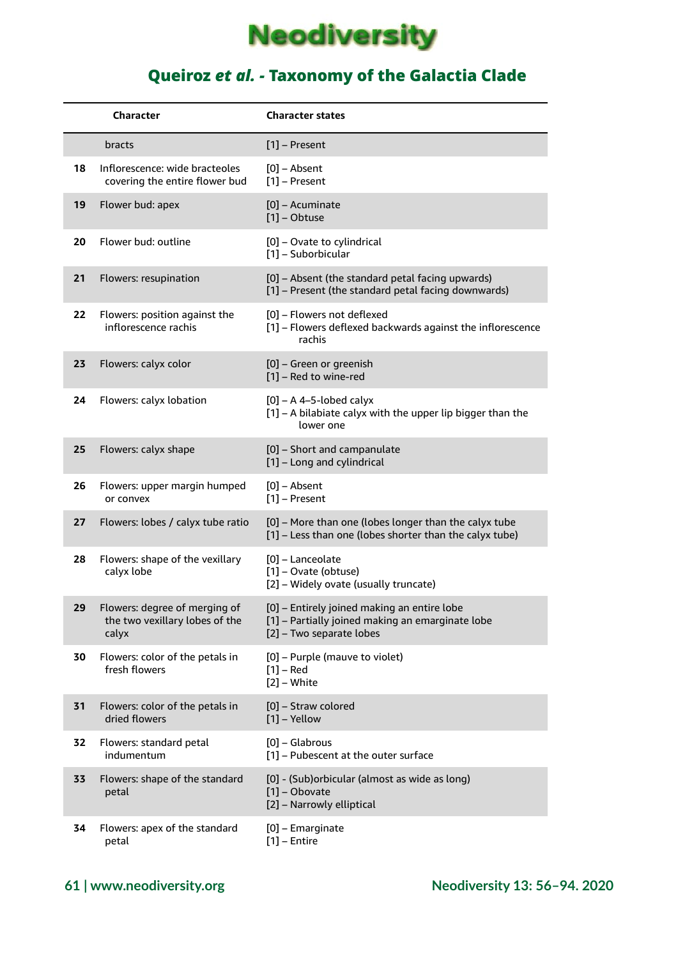

|    | Character                                                                | <b>Character states</b>                                                                                                     |
|----|--------------------------------------------------------------------------|-----------------------------------------------------------------------------------------------------------------------------|
|    | bracts                                                                   | $[1]$ – Present                                                                                                             |
| 18 | Inflorescence: wide bracteoles<br>covering the entire flower bud         | $[0]$ – Absent<br>$[1]$ – Present                                                                                           |
| 19 | Flower bud: apex                                                         | [0] - Acuminate<br>$[1]$ – Obtuse                                                                                           |
| 20 | Flower bud: outline                                                      | [0] - Ovate to cylindrical<br>[1] - Suborbicular                                                                            |
| 21 | Flowers: resupination                                                    | [0] - Absent (the standard petal facing upwards)<br>[1] - Present (the standard petal facing downwards)                     |
| 22 | Flowers: position against the<br>inflorescence rachis                    | [0] - Flowers not deflexed<br>[1] - Flowers deflexed backwards against the inflorescence<br>rachis                          |
| 23 | Flowers: calyx color                                                     | [0] - Green or greenish<br>[1] - Red to wine-red                                                                            |
| 24 | Flowers: calyx lobation                                                  | $[0]$ – A 4–5-lobed calyx<br>[1] - A bilabiate calyx with the upper lip bigger than the<br>lower one                        |
| 25 | Flowers: calyx shape                                                     | [0] - Short and campanulate<br>[1] - Long and cylindrical                                                                   |
| 26 | Flowers: upper margin humped<br>or convex                                | $[0]$ – Absent<br>$[1]$ – Present                                                                                           |
| 27 | Flowers: lobes / calyx tube ratio                                        | [0] - More than one (lobes longer than the calyx tube<br>[1] - Less than one (lobes shorter than the calyx tube)            |
| 28 | Flowers: shape of the vexillary<br>calyx lobe                            | [0] - Lanceolate<br>$[1]$ – Ovate (obtuse)<br>[2] - Widely ovate (usually truncate)                                         |
| 29 | Flowers: degree of merging of<br>the two vexillary lobes of the<br>calyx | [0] - Entirely joined making an entire lobe<br>[1] - Partially joined making an emarginate lobe<br>[2] - Two separate lobes |
| 30 | Flowers: color of the petals in<br>fresh flowers                         | [0] - Purple (mauve to violet)<br>$[1]$ – Red<br>$[2]$ – White                                                              |
| 31 | Flowers: color of the petals in<br>dried flowers                         | [0] - Straw colored<br>$[1]$ – Yellow                                                                                       |
| 32 | Flowers: standard petal<br>indumentum                                    | $[0]$ – Glabrous<br>[1] - Pubescent at the outer surface                                                                    |
| 33 | Flowers: shape of the standard<br>petal                                  | [0] - (Sub)orbicular (almost as wide as long)<br>[1] - Obovate<br>[2] - Narrowly elliptical                                 |
| 34 | Flowers: apex of the standard<br>petal                                   | [0] - Emarginate<br>$[1]$ – Entire                                                                                          |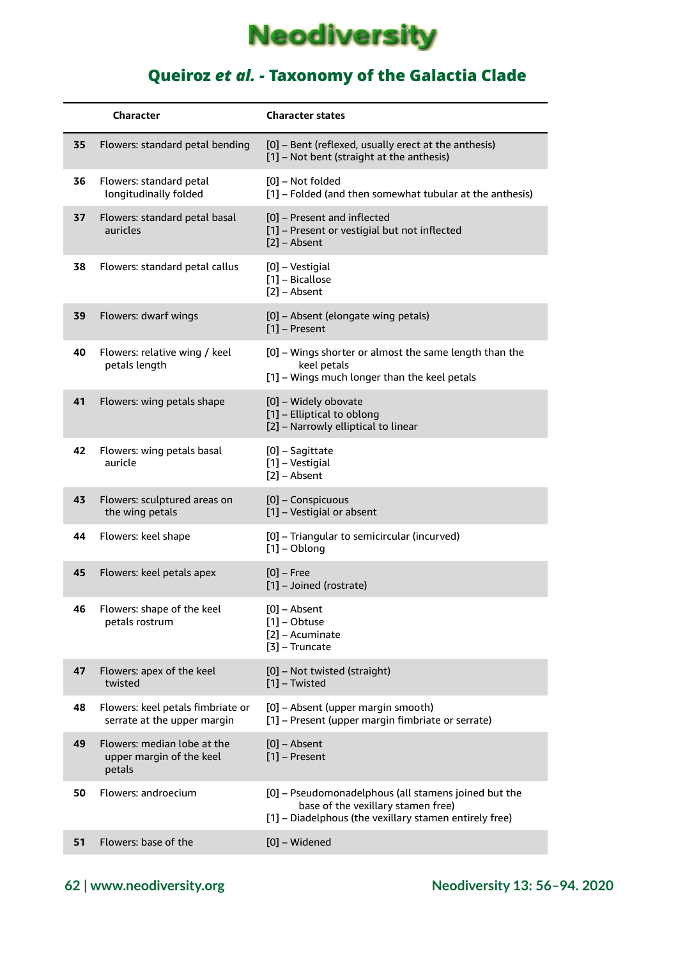

|    | <b>Character</b>                                                  | <b>Character states</b>                                                                                                                              |
|----|-------------------------------------------------------------------|------------------------------------------------------------------------------------------------------------------------------------------------------|
| 35 | Flowers: standard petal bending                                   | [0] - Bent (reflexed, usually erect at the anthesis)<br>[1] - Not bent (straight at the anthesis)                                                    |
| 36 | Flowers: standard petal<br>longitudinally folded                  | [0] - Not folded<br>[1] - Folded (and then somewhat tubular at the anthesis)                                                                         |
| 37 | Flowers: standard petal basal<br>auricles                         | [0] - Present and inflected<br>[1] - Present or vestigial but not inflected<br>$[2]$ – Absent                                                        |
| 38 | Flowers: standard petal callus                                    | [0] - Vestigial<br>[1] - Bicallose<br>$[2]$ – Absent                                                                                                 |
| 39 | Flowers: dwarf wings                                              | [0] - Absent (elongate wing petals)<br>$[1]$ – Present                                                                                               |
| 40 | Flowers: relative wing / keel<br>petals length                    | [0] - Wings shorter or almost the same length than the<br>keel petals<br>[1] - Wings much longer than the keel petals                                |
| 41 | Flowers: wing petals shape                                        | [0] - Widely obovate<br>[1] - Elliptical to oblong<br>[2] - Narrowly elliptical to linear                                                            |
| 42 | Flowers: wing petals basal<br>auricle                             | [0] - Sagittate<br>[1] - Vestigial<br>$[2]$ – Absent                                                                                                 |
| 43 | Flowers: sculptured areas on<br>the wing petals                   | [0] - Conspicuous<br>[1] - Vestigial or absent                                                                                                       |
| 44 | Flowers: keel shape                                               | [0] - Triangular to semicircular (incurved)<br>$[1]$ – Oblong                                                                                        |
| 45 | Flowers: keel petals apex                                         | $[0]$ – Free<br>[1] - Joined (rostrate)                                                                                                              |
| 46 | Flowers: shape of the keel<br>petals rostrum                      | $[0]$ – Absent<br>$[1]$ – Obtuse<br>[2] - Acuminate<br>[3] - Truncate                                                                                |
| 47 | Flowers: apex of the keel<br>twisted                              | [0] - Not twisted (straight)<br>[1] - Twisted                                                                                                        |
| 48 | Flowers: keel petals fimbriate or<br>serrate at the upper margin  | [0] - Absent (upper margin smooth)<br>[1] - Present (upper margin fimbriate or serrate)                                                              |
| 49 | Flowers: median lobe at the<br>upper margin of the keel<br>petals | $[0]$ – Absent<br>$[1]$ – Present                                                                                                                    |
| 50 | Flowers: androecium                                               | [0] - Pseudomonadelphous (all stamens joined but the<br>base of the vexillary stamen free)<br>[1] - Diadelphous (the vexillary stamen entirely free) |
| 51 | Flowers: base of the                                              | [0] - Widened                                                                                                                                        |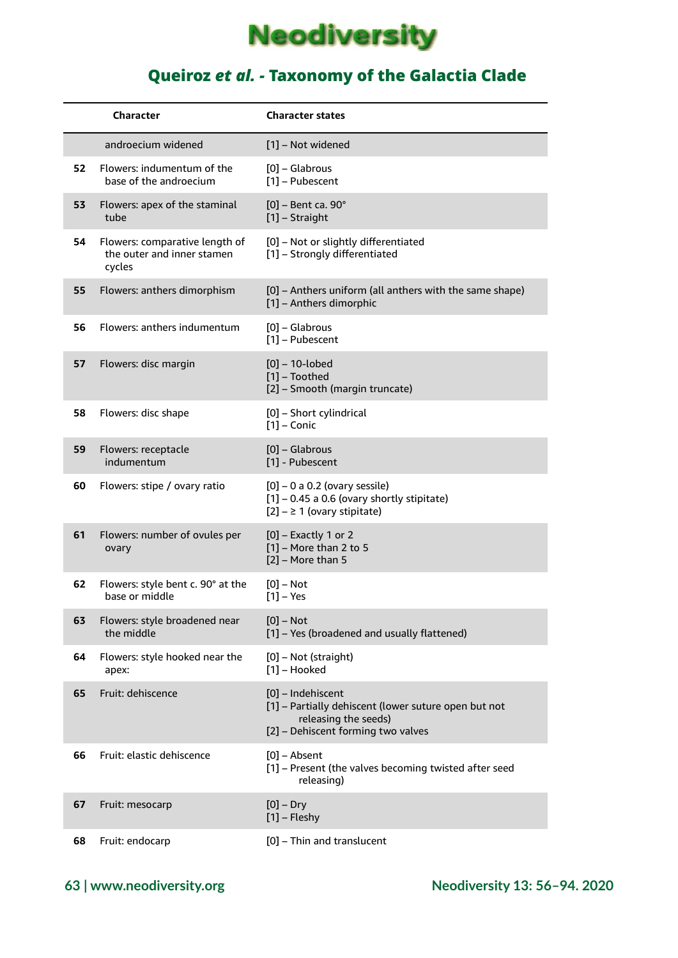

|    | Character                                                              | <b>Character states</b>                                                                                                                 |
|----|------------------------------------------------------------------------|-----------------------------------------------------------------------------------------------------------------------------------------|
|    | androecium widened                                                     | [1] - Not widened                                                                                                                       |
| 52 | Flowers: indumentum of the<br>base of the androecium                   | $[0]$ – Glabrous<br>[1] - Pubescent                                                                                                     |
| 53 | Flowers: apex of the staminal<br>tube                                  | $[0]$ – Bent ca. 90 $^{\circ}$<br>$[1]$ – Straight                                                                                      |
| 54 | Flowers: comparative length of<br>the outer and inner stamen<br>cycles | [0] - Not or slightly differentiated<br>[1] - Strongly differentiated                                                                   |
| 55 | Flowers: anthers dimorphism                                            | [0] - Anthers uniform (all anthers with the same shape)<br>[1] - Anthers dimorphic                                                      |
| 56 | Flowers: anthers indumentum                                            | $[0]$ – Glabrous<br>[1] - Pubescent                                                                                                     |
| 57 | Flowers: disc margin                                                   | $[0]$ – 10-lobed<br>$[1]$ – Toothed<br>[2] - Smooth (margin truncate)                                                                   |
| 58 | Flowers: disc shape                                                    | [0] - Short cylindrical<br>$[1]$ – Conic                                                                                                |
| 59 | Flowers: receptacle<br>indumentum                                      | $[0]$ – Glabrous<br>[1] - Pubescent                                                                                                     |
| 60 | Flowers: stipe / ovary ratio                                           | $[0]$ – 0 a 0.2 (ovary sessile)<br>$[1]$ – 0.45 a 0.6 (ovary shortly stipitate)<br>$[2]$ – $\geq$ 1 (ovary stipitate)                   |
| 61 | Flowers: number of ovules per<br>ovary                                 | $[0]$ – Exactly 1 or 2<br>$[1]$ – More than 2 to 5<br>$[2]$ – More than 5                                                               |
| 62 | Flowers: style bent c. 90° at the<br>base or middle                    | $[0]$ – Not<br>$[1]$ – Yes                                                                                                              |
| 63 | Flowers: style broadened near<br>the middle                            | $[0]$ – Not<br>[1] - Yes (broadened and usually flattened)                                                                              |
| 64 | Flowers: style hooked near the<br>apex:                                | [0] - Not (straight)<br>[1] – Hooked                                                                                                    |
| 65 | Fruit: dehiscence                                                      | [0] - Indehiscent<br>[1] - Partially dehiscent (lower suture open but not<br>releasing the seeds)<br>[2] - Dehiscent forming two valves |
| 66 | Fruit: elastic dehiscence                                              | $[0]$ – Absent<br>[1] - Present (the valves becoming twisted after seed<br>releasing)                                                   |
| 67 | Fruit: mesocarp                                                        | $[0]$ – Dry<br>$[1]$ – Fleshy                                                                                                           |
| 68 | Fruit: endocarp                                                        | [0] - Thin and translucent                                                                                                              |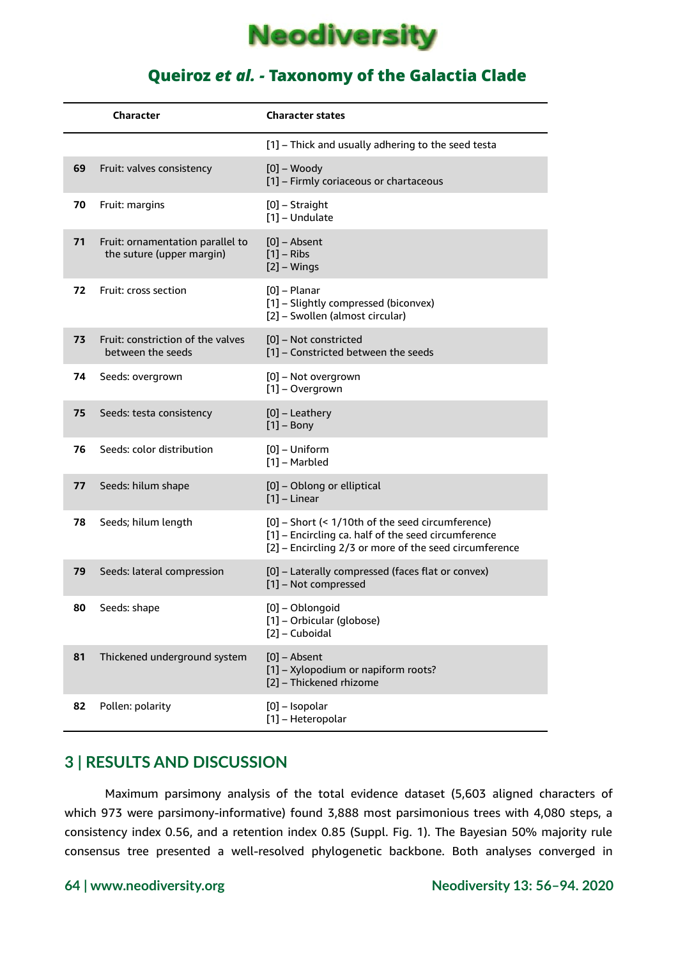

| Character |                                                               | <b>Character states</b>                                                                                                                                           |  |
|-----------|---------------------------------------------------------------|-------------------------------------------------------------------------------------------------------------------------------------------------------------------|--|
|           |                                                               | [1] - Thick and usually adhering to the seed testa                                                                                                                |  |
| 69        | Fruit: valves consistency                                     | $[0]$ – Woody<br>[1] - Firmly coriaceous or chartaceous                                                                                                           |  |
| 70        | Fruit: margins                                                | [0] - Straight<br>[1] - Undulate                                                                                                                                  |  |
| 71        | Fruit: ornamentation parallel to<br>the suture (upper margin) | $[0]$ – Absent<br>$[1]$ – Ribs<br>$[2]$ – Wings                                                                                                                   |  |
| 72        | Fruit: cross section                                          | $[0]$ – Planar<br>[1] - Slightly compressed (biconvex)<br>[2] - Swollen (almost circular)                                                                         |  |
| 73        | Fruit: constriction of the valves<br>between the seeds        | [0] - Not constricted<br>[1] - Constricted between the seeds                                                                                                      |  |
| 74        | Seeds: overgrown                                              | [0] - Not overgrown<br>[1] - Overgrown                                                                                                                            |  |
| 75        | Seeds: testa consistency                                      | [0] - Leathery<br>$[1]$ – Bony                                                                                                                                    |  |
| 76        | Seeds: color distribution                                     | [0] - Uniform<br>[1] - Marbled                                                                                                                                    |  |
| 77        | Seeds: hilum shape                                            | [0] - Oblong or elliptical<br>$[1]$ – Linear                                                                                                                      |  |
| 78        | Seeds; hilum length                                           | [0] - Short (< 1/10th of the seed circumference)<br>[1] - Encircling ca. half of the seed circumference<br>[2] - Encircling 2/3 or more of the seed circumference |  |
| 79        | Seeds: lateral compression                                    | [0] - Laterally compressed (faces flat or convex)<br>[1] - Not compressed                                                                                         |  |
| 80        | Seeds: shape                                                  | [0] - Oblongoid<br>[1] - Orbicular (globose)<br>[2] - Cuboidal                                                                                                    |  |
| 81        | Thickened underground system                                  | $[0]$ – Absent<br>[1] - Xylopodium or napiform roots?<br>[2] - Thickened rhizome                                                                                  |  |
| 82        | Pollen: polarity                                              | [0] - Isopolar<br>[1] - Heteropolar                                                                                                                               |  |

## **3 | RESULTS AND DISCUSSION**

Maximum parsimony analysis of the total evidence dataset (5,603 aligned characters of which 973 were parsimony-informative) found 3,888 most parsimonious trees with 4,080 steps, a consistency index 0.56, and a retention index 0.85 (Suppl. Fig. 1). The Bayesian 50% majority rule consensus tree presented a well-resolved phylogenetic backbone. Both analyses converged in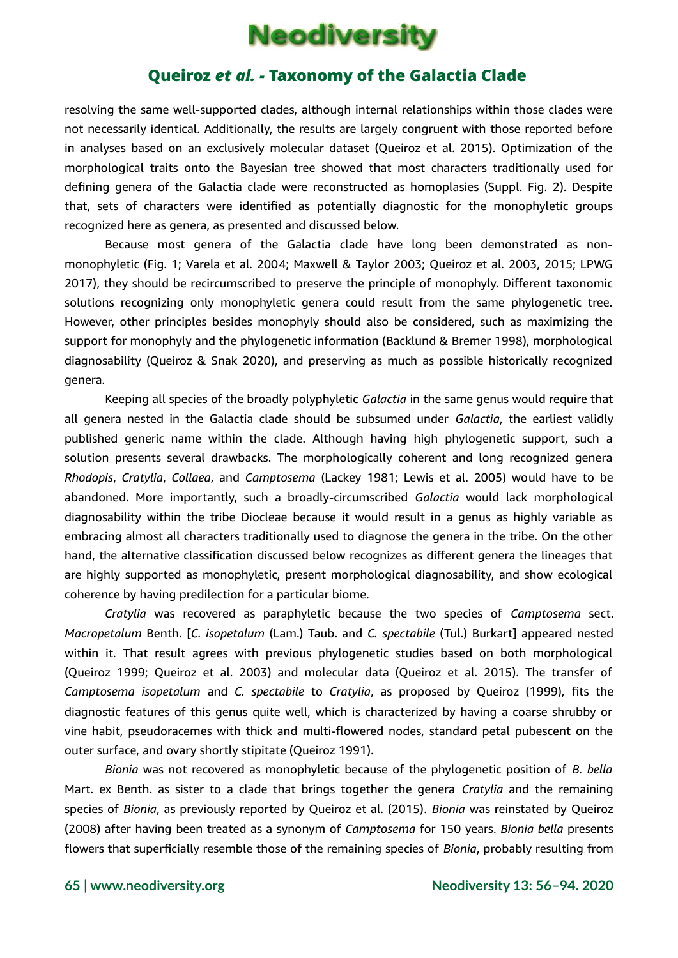# Queiroz *et al. -* Taxonomy of the Galactia Clade

resolving the same well-supported clades, although internal relationships within those clades were not necessarily identical. Additionally, the results are largely congruent with those reported before in analyses based on an exclusively molecular dataset (Queiroz et al. 2015). Optimization of the morphological traits onto the Bayesian tree showed that most characters traditionally used for defining genera of the Galactia clade were reconstructed as homoplasies (Suppl. Fig. 2). Despite that, sets of characters were identified as potentially diagnostic for the monophyletic groups recognized here as genera, as presented and discussed below.

Because most genera of the Galactia clade have long been demonstrated as nonmonophyletic (Fig. 1; Varela et al. 2004; Maxwell & Taylor 2003; Queiroz et al. 2003, 2015; LPWG 2017), they should be recircumscribed to preserve the principle of monophyly. Different taxonomic solutions recognizing only monophyletic genera could result from the same phylogenetic tree. However, other principles besides monophyly should also be considered, such as maximizing the support for monophyly and the phylogenetic information (Backlund & Bremer 1998), morphological diagnosability (Queiroz & Snak 2020), and preserving as much as possible historically recognized genera.

Keeping all species of the broadly polyphyletic *Galactia* in the same genus would require that all genera nested in the Galactia clade should be subsumed under *Galactia*, the earliest validly published generic name within the clade. Although having high phylogenetic support, such a solution presents several drawbacks. The morphologically coherent and long recognized genera *Rhodopis*, *Cratylia*, *Collaea*, and *Camptosema* (Lackey 1981; Lewis et al. 2005) would have to be abandoned. More importantly, such a broadly-circumscribed *Galactia* would lack morphological diagnosability within the tribe Diocleae because it would result in a genus as highly variable as embracing almost all characters traditionally used to diagnose the genera in the tribe. On the other hand, the alternative classification discussed below recognizes as different genera the lineages that are highly supported as monophyletic, present morphological diagnosability, and show ecological coherence by having predilection for a particular biome.

*Cratylia* was recovered as paraphyletic because the two species of *Camptosema* sect. *Macropetalum* Benth. [*C. isopetalum* (Lam.) Taub. and *C. spectabile* (Tul.) Burkart] appeared nested within it. That result agrees with previous phylogenetic studies based on both morphological (Queiroz 1999; Queiroz et al. 2003) and molecular data (Queiroz et al. 2015). The transfer of *Camptosema isopetalum* and *C. spectabile* to *Cratylia*, as proposed by Queiroz (1999), fits the diagnostic features of this genus quite well, which is characterized by having a coarse shrubby or vine habit, pseudoracemes with thick and multi-flowered nodes, standard petal pubescent on the outer surface, and ovary shortly stipitate (Queiroz 1991).

*Bionia* was not recovered as monophyletic because of the phylogenetic position of *B. bella* Mart. ex Benth. as sister to a clade that brings together the genera *Cratylia* and the remaining species of *Bionia*, as previously reported by Queiroz et al. (2015). *Bionia* was reinstated by Queiroz (2008) after having been treated as a synonym of *Camptosema* for 150 years. *Bionia bella* presents flowers that superficially resemble those of the remaining species of *Bionia*, probably resulting from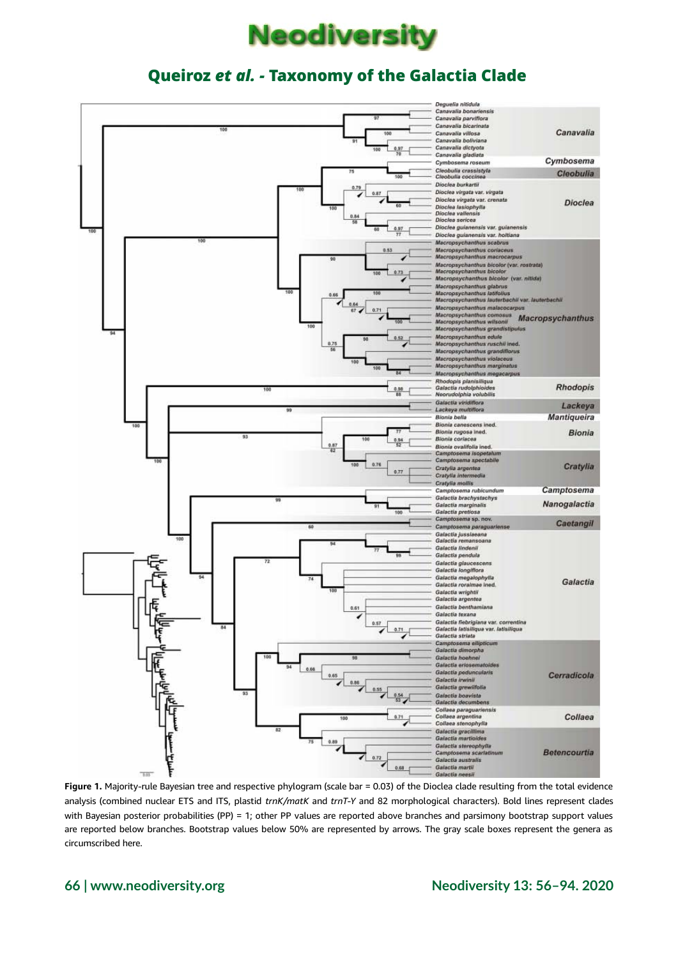



**Figure 1.** Majority-rule Bayesian tree and respective phylogram (scale bar = 0.03) of the Dioclea clade resulting from the total evidence analysis (combined nuclear ETS and ITS, plastid *trnK/matK* and *trnT-Y* and 82 morphological characters). Bold lines represent clades with Bayesian posterior probabilities (PP) = 1; other PP values are reported above branches and parsimony bootstrap support values are reported below branches. Bootstrap values below 50% are represented by arrows. The gray scale boxes represent the genera as circumscribed here.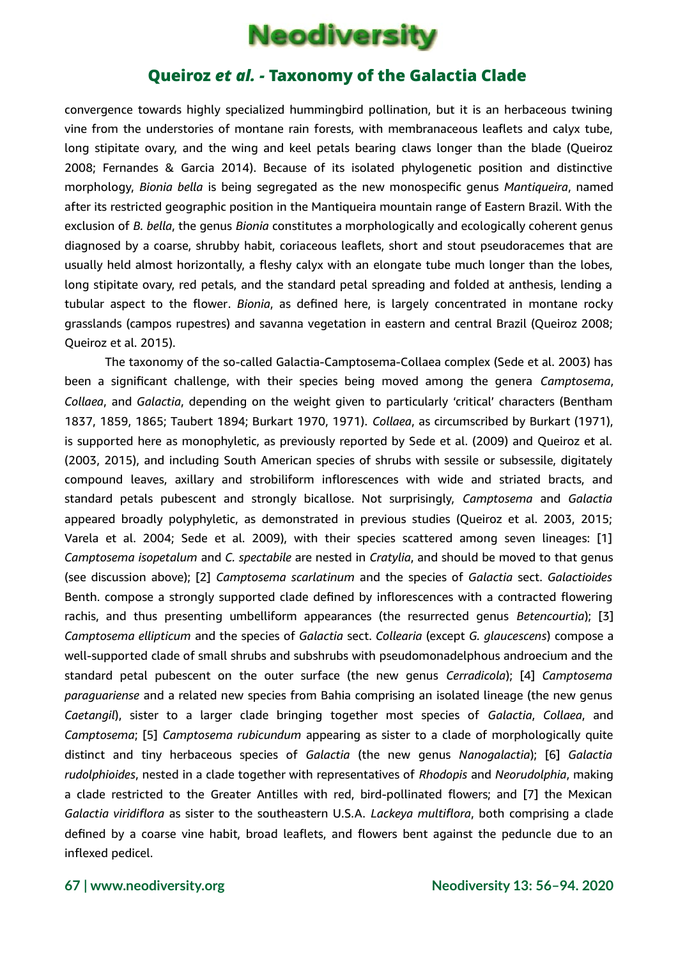# Queiroz *et al. -* Taxonomy of the Galactia Clade

convergence towards highly specialized hummingbird pollination, but it is an herbaceous twining vine from the understories of montane rain forests, with membranaceous leaflets and calyx tube, long stipitate ovary, and the wing and keel petals bearing claws longer than the blade (Queiroz 2008; Fernandes & Garcia 2014). Because of its isolated phylogenetic position and distinctive morphology, *Bionia bella* is being segregated as the new monospecific genus *Mantiqueira*, named after its restricted geographic position in the Mantiqueira mountain range of Eastern Brazil. With the exclusion of *B. bella*, the genus *Bionia* constitutes a morphologically and ecologically coherent genus diagnosed by a coarse, shrubby habit, coriaceous leaflets, short and stout pseudoracemes that are usually held almost horizontally, a fleshy calyx with an elongate tube much longer than the lobes, long stipitate ovary, red petals, and the standard petal spreading and folded at anthesis, lending a tubular aspect to the flower. *Bionia*, as defined here, is largely concentrated in montane rocky grasslands (campos rupestres) and savanna vegetation in eastern and central Brazil (Queiroz 2008; Queiroz et al. 2015).

The taxonomy of the so-called Galactia-Camptosema-Collaea complex (Sede et al. 2003) has been a significant challenge, with their species being moved among the genera *Camptosema*, *Collaea*, and *Galactia*, depending on the weight given to particularly 'critical' characters (Bentham 1837, 1859, 1865; Taubert 1894; Burkart 1970, 1971). *Collaea*, as circumscribed by Burkart (1971), is supported here as monophyletic, as previously reported by Sede et al. (2009) and Queiroz et al. (2003, 2015), and including South American species of shrubs with sessile or subsessile, digitately compound leaves, axillary and strobiliform inflorescences with wide and striated bracts, and standard petals pubescent and strongly bicallose. Not surprisingly, *Camptosema* and *Galactia* appeared broadly polyphyletic, as demonstrated in previous studies (Queiroz et al. 2003, 2015; Varela et al. 2004; Sede et al. 2009), with their species scattered among seven lineages: [1] *Camptosema isopetalum* and *C. spectabile* are nested in *Cratylia*, and should be moved to that genus (see discussion above); [2] *Camptosema scarlatinum* and the species of *Galactia* sect. *Galactioides* Benth. compose a strongly supported clade defined by inflorescences with a contracted flowering rachis, and thus presenting umbelliform appearances (the resurrected genus *Betencourtia*); [3] *Camptosema ellipticum* and the species of *Galactia* sect. *Collearia* (except *G. glaucescens*) compose a well-supported clade of small shrubs and subshrubs with pseudomonadelphous androecium and the standard petal pubescent on the outer surface (the new genus *Cerradicola*); [4] *Camptosema paraguariense* and a related new species from Bahia comprising an isolated lineage (the new genus *Caetangil*), sister to a larger clade bringing together most species of *Galactia*, *Collaea*, and *Camptosema*; [5] *Camptosema rubicundum* appearing as sister to a clade of morphologically quite distinct and tiny herbaceous species of *Galactia* (the new genus *Nanogalactia*); [6] *Galactia rudolphioides*, nested in a clade together with representatives of *Rhodopis* and *Neorudolphia*, making a clade restricted to the Greater Antilles with red, bird-pollinated flowers; and [7] the Mexican *Galactia viridiflora* as sister to the southeastern U.S.A. *Lackeya multiflora*, both comprising a clade defined by a coarse vine habit, broad leaflets, and flowers bent against the peduncle due to an inflexed pedicel.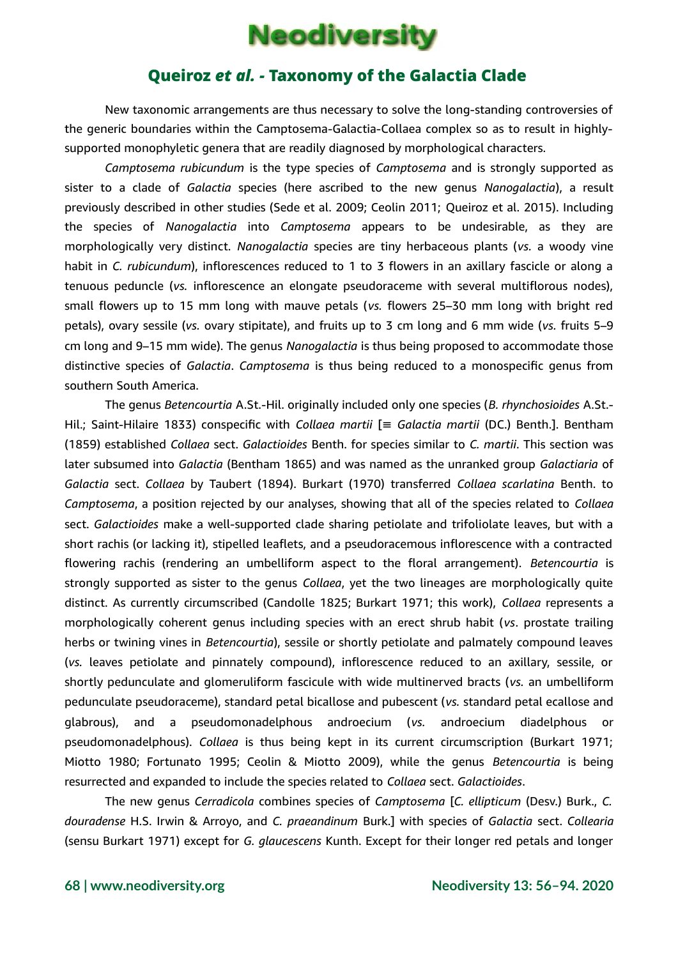# Queiroz *et al. -* Taxonomy of the Galactia Clade

New taxonomic arrangements are thus necessary to solve the long-standing controversies of the generic boundaries within the Camptosema-Galactia-Collaea complex so as to result in highlysupported monophyletic genera that are readily diagnosed by morphological characters.

*Camptosema rubicundum* is the type species of *Camptosema* and is strongly supported as sister to a clade of *Galactia* species (here ascribed to the new genus *Nanogalactia*), a result previously described in other studies (Sede et al. 2009; Ceolin 2011; Queiroz et al. 2015). Including the species of *Nanogalactia* into *Camptosema* appears to be undesirable, as they are morphologically very distinct. *Nanogalactia* species are tiny herbaceous plants (*vs.* a woody vine habit in *C. rubicundum*), inflorescences reduced to 1 to 3 flowers in an axillary fascicle or along a tenuous peduncle (*vs.* inflorescence an elongate pseudoraceme with several multiflorous nodes), small flowers up to 15 mm long with mauve petals (*vs.* flowers 25–30 mm long with bright red petals), ovary sessile (*vs.* ovary stipitate), and fruits up to 3 cm long and 6 mm wide (*vs.* fruits 5–9 cm long and 9–15 mm wide). The genus *Nanogalactia* is thus being proposed to accommodate those distinctive species of *Galactia*. *Camptosema* is thus being reduced to a monospecific genus from southern South America.

The genus *Betencourtia* A.St.-Hil. originally included only one species (*B. rhynchosioides* A.St.- Hil.; Saint-Hilaire 1833) conspecific with *Collaea martii* [≡ *Galactia martii* (DC.) Benth.]. Bentham (1859) established *Collaea* sect. *Galactioides* Benth. for species similar to *C. martii*. This section was later subsumed into *Galactia* (Bentham 1865) and was named as the unranked group *Galactiaria* of *Galactia* sect. *Collaea* by Taubert (1894). Burkart (1970) transferred *Collaea scarlatina* Benth. to *Camptosema*, a position rejected by our analyses, showing that all of the species related to *Collaea* sect. *Galactioides* make a well-supported clade sharing petiolate and trifoliolate leaves, but with a short rachis (or lacking it), stipelled leaflets, and a pseudoracemous inflorescence with a contracted flowering rachis (rendering an umbelliform aspect to the floral arrangement). *Betencourtia* is strongly supported as sister to the genus *Collaea*, yet the two lineages are morphologically quite distinct. As currently circumscribed (Candolle 1825; Burkart 1971; this work), *Collaea* represents a morphologically coherent genus including species with an erect shrub habit (*vs*. prostate trailing herbs or twining vines in *Betencourtia*), sessile or shortly petiolate and palmately compound leaves (*vs.* leaves petiolate and pinnately compound), inflorescence reduced to an axillary, sessile, or shortly pedunculate and glomeruliform fascicule with wide multinerved bracts (*vs.* an umbelliform pedunculate pseudoraceme), standard petal bicallose and pubescent (*vs.* standard petal ecallose and glabrous), and a pseudomonadelphous androecium (*vs.* androecium diadelphous or pseudomonadelphous). *Collaea* is thus being kept in its current circumscription (Burkart 1971; Miotto 1980; Fortunato 1995; Ceolin & Miotto 2009), while the genus *Betencourtia* is being resurrected and expanded to include the species related to *Collaea* sect. *Galactioides*.

The new genus *Cerradicola* combines species of *Camptosema* [*C. ellipticum* (Desv.) Burk., *C. douradense* H.S. Irwin & Arroyo, and *C. praeandinum* Burk.] with species of *Galactia* sect. *Collearia* (sensu Burkart 1971) except for *G. glaucescens* Kunth. Except for their longer red petals and longer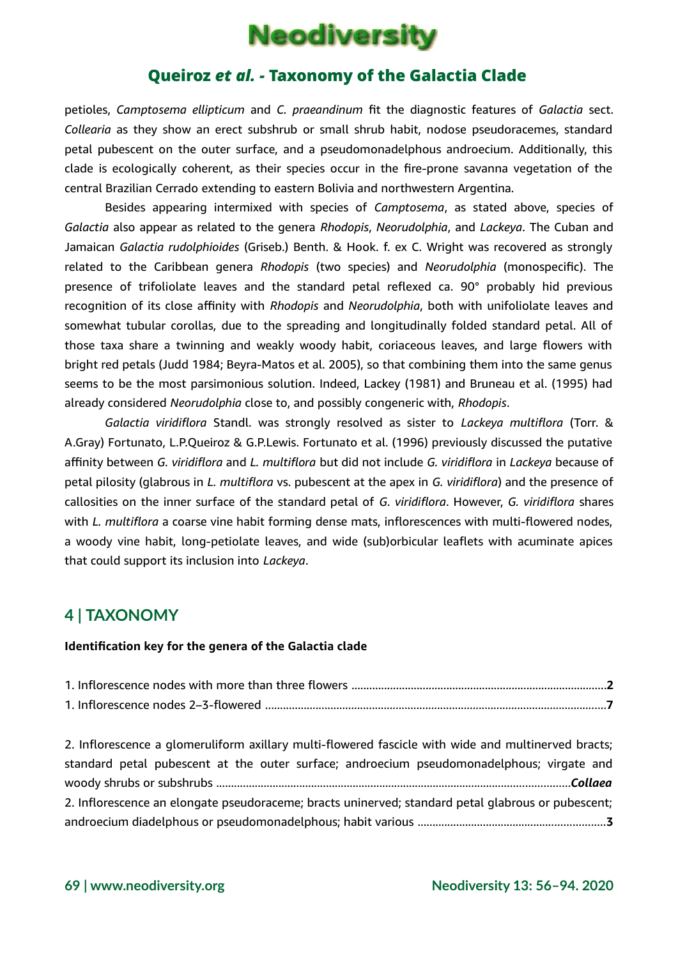

petioles, *Camptosema ellipticum* and *C. praeandinum* fit the diagnostic features of *Galactia* sect. *Collearia* as they show an erect subshrub or small shrub habit, nodose pseudoracemes, standard petal pubescent on the outer surface, and a pseudomonadelphous androecium. Additionally, this clade is ecologically coherent, as their species occur in the fire-prone savanna vegetation of the central Brazilian Cerrado extending to eastern Bolivia and northwestern Argentina.

Besides appearing intermixed with species of *Camptosema*, as stated above, species of *Galactia* also appear as related to the genera *Rhodopis*, *Neorudolphia*, and *Lackeya*. The Cuban and Jamaican *Galactia rudolphioides* (Griseb.) Benth. & Hook. f. ex C. Wright was recovered as strongly related to the Caribbean genera *Rhodopis* (two species) and *Neorudolphia* (monospecific). The presence of trifoliolate leaves and the standard petal reflexed ca. 90° probably hid previous recognition of its close affinity with *Rhodopis* and *Neorudolphia*, both with unifoliolate leaves and somewhat tubular corollas, due to the spreading and longitudinally folded standard petal. All of those taxa share a twinning and weakly woody habit, coriaceous leaves, and large flowers with bright red petals (Judd 1984; Beyra-Matos et al. 2005), so that combining them into the same genus seems to be the most parsimonious solution. Indeed, Lackey (1981) and Bruneau et al. (1995) had already considered *Neorudolphia* close to, and possibly congeneric with, *Rhodopis*.

*Galactia viridiflora* Standl. was strongly resolved as sister to *Lackeya multiflora* (Torr. & A.Gray) Fortunato, L.P.Queiroz & G.P.Lewis. Fortunato et al. (1996) previously discussed the putative affinity between *G. viridiflora* and *L. multiflora* but did not include *G. viridiflora* in *Lackeya* because of petal pilosity (glabrous in *L. multiflora* vs. pubescent at the apex in *G. viridiflora*) and the presence of callosities on the inner surface of the standard petal of *G. viridiflora*. However, *G. viridiflora* shares with *L. multiflora* a coarse vine habit forming dense mats, inflorescences with multi-flowered nodes, a woody vine habit, long-petiolate leaves, and wide (sub)orbicular leaflets with acuminate apices that could support its inclusion into *Lackeya*.

## **4 | TAXONOMY**

#### **Identification key for the genera of the Galactia clade**

2. Inflorescence a glomeruliform axillary multi-flowered fascicle with wide and multinerved bracts; standard petal pubescent at the outer surface; androecium pseudomonadelphous; virgate and woody shrubs or subshrubs .......................................................................................................................*Collaea* 2. Inflorescence an elongate pseudoraceme; bracts uninerved; standard petal glabrous or pubescent; androecium diadelphous or pseudomonadelphous; habit various ...............................................................**3**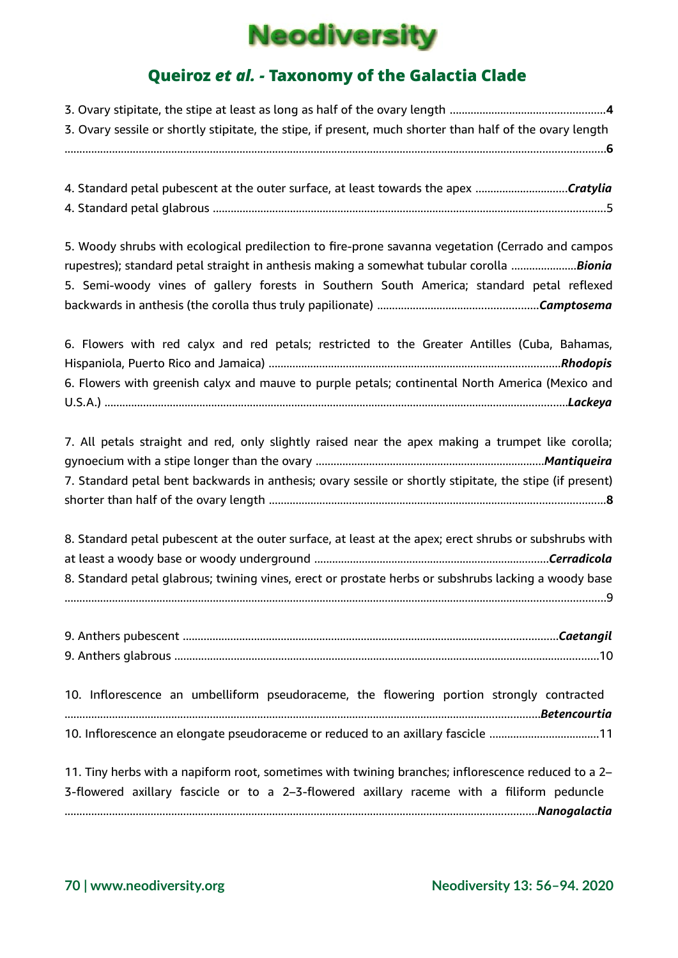# Queiroz *et al. -* Taxonomy of the Galactia Clade

| 3. Ovary sessile or shortly stipitate, the stipe, if present, much shorter than half of the ovary length |  |
|----------------------------------------------------------------------------------------------------------|--|
|                                                                                                          |  |

| 4. Standard petal pubescent at the outer surface, at least towards the apex Cratylia |  |
|--------------------------------------------------------------------------------------|--|
|                                                                                      |  |

5. Woody shrubs with ecological predilection to fire-prone savanna vegetation (Cerrado and campos rupestres); standard petal straight in anthesis making a somewhat tubular corolla ......................*Bionia* 5. Semi-woody vines of gallery forests in Southern South America; standard petal reflexed backwards in anthesis (the corolla thus truly papilionate) ......................................................*Camptosema*

6. Flowers with red calyx and red petals; restricted to the Greater Antilles (Cuba, Bahamas, Hispaniola, Puerto Rico and Jamaica) ..................................................................................................*Rhodopis* 6. Flowers with greenish calyx and mauve to purple petals; continental North America (Mexico and U.S.A.) ............................................................................................................................................................*Lackeya*

7. All petals straight and red, only slightly raised near the apex making a trumpet like corolla; gynoecium with a stipe longer than the ovary .............................................................................*Mantiqueira* 7. Standard petal bent backwards in anthesis; ovary sessile or shortly stipitate, the stipe (if present) shorter than half of the ovary length .................................................................................................................**8**

8. Standard petal pubescent at the outer surface, at least at the apex; erect shrubs or subshrubs with at least a woody base or woody underground ...............................................................................*Cerradicola* 8. Standard petal glabrous; twining vines, erect or prostate herbs or subshrubs lacking a woody base ......................................................................................................................................................................................9

10. Inflorescence an umbelliform pseudoraceme, the flowering portion strongly contracted ................................................................................................................................................................*Betencourtia* 10. Inflorescence an elongate pseudoraceme or reduced to an axillary fascicle .....................................11

11. Tiny herbs with a napiform root, sometimes with twining branches; inflorescence reduced to a 2– 3-flowered axillary fascicle or to a 2–3-flowered axillary raceme with a filiform peduncle ...............................................................................................................................................................*Nanogalactia*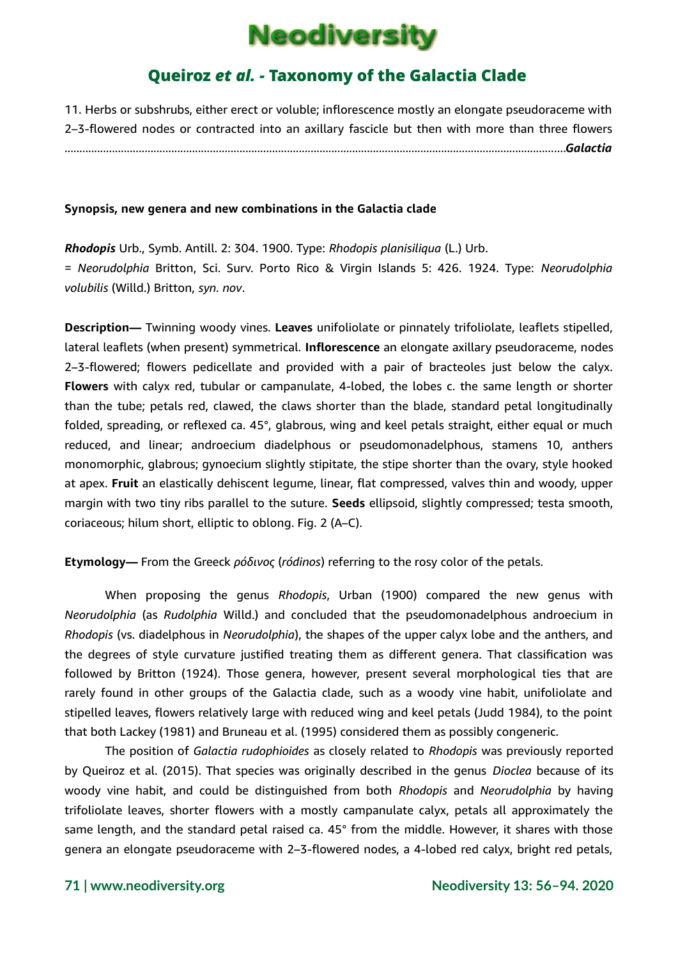# Queiroz *et al. -* Taxonomy of the Galactia Clade

11. Herbs or subshrubs, either erect or voluble; inflorescence mostly an elongate pseudoraceme with 2–3-flowered nodes or contracted into an axillary fascicle but then with more than three flowers .........................................................................................................................................................................*Galactia*

#### **Synopsis, new genera and new combinations in the Galactia clade**

*Rhodopis* Urb., Symb. Antill. 2: 304. 1900. Type: *Rhodopis planisiliqua* (L.) Urb. = *Neorudolphia* Britton, Sci. Surv. Porto Rico & Virgin Islands 5: 426. 1924. Type: *Neorudolphia volubilis* (Willd.) Britton, *syn. nov*.

**Description—** Twinning woody vines. **Leaves** unifoliolate or pinnately trifoliolate, leaflets stipelled, lateral leaflets (when present) symmetrical. **Inflorescence** an elongate axillary pseudoraceme, nodes 2–3-flowered; flowers pedicellate and provided with a pair of bracteoles just below the calyx. **Flowers** with calyx red, tubular or campanulate, 4-lobed, the lobes c. the same length or shorter than the tube; petals red, clawed, the claws shorter than the blade, standard petal longitudinally folded, spreading, or reflexed ca. 45°, glabrous, wing and keel petals straight, either equal or much reduced, and linear; androecium diadelphous or pseudomonadelphous, stamens 10, anthers monomorphic, glabrous; gynoecium slightly stipitate, the stipe shorter than the ovary, style hooked at apex. **Fruit** an elastically dehiscent legume, linear, flat compressed, valves thin and woody, upper margin with two tiny ribs parallel to the suture. **Seeds** ellipsoid, slightly compressed; testa smooth, coriaceous; hilum short, elliptic to oblong. Fig. 2 (A–C).

**Etymology—** From the Greeck *ρόδινος (ródinos)* referring to the rosy color of the petals.

When proposing the genus *Rhodopis*, Urban (1900) compared the new genus with *Neorudolphia* (as *Rudolphia* Willd.) and concluded that the pseudomonadelphous androecium in *Rhodopis* (vs. diadelphous in *Neorudolphia*), the shapes of the upper calyx lobe and the anthers, and the degrees of style curvature justified treating them as different genera. That classification was followed by Britton (1924). Those genera, however, present several morphological ties that are rarely found in other groups of the Galactia clade, such as a woody vine habit, unifoliolate and stipelled leaves, flowers relatively large with reduced wing and keel petals (Judd 1984), to the point that both Lackey (1981) and Bruneau et al. (1995) considered them as possibly congeneric.

The position of *Galactia rudophioides* as closely related to *Rhodopis* was previously reported by Queiroz et al. (2015). That species was originally described in the genus *Dioclea* because of its woody vine habit, and could be distinguished from both *Rhodopis* and *Neorudolphia* by having trifoliolate leaves, shorter flowers with a mostly campanulate calyx, petals all approximately the same length, and the standard petal raised ca. 45° from the middle. However, it shares with those genera an elongate pseudoraceme with 2–3-flowered nodes, a 4-lobed red calyx, bright red petals,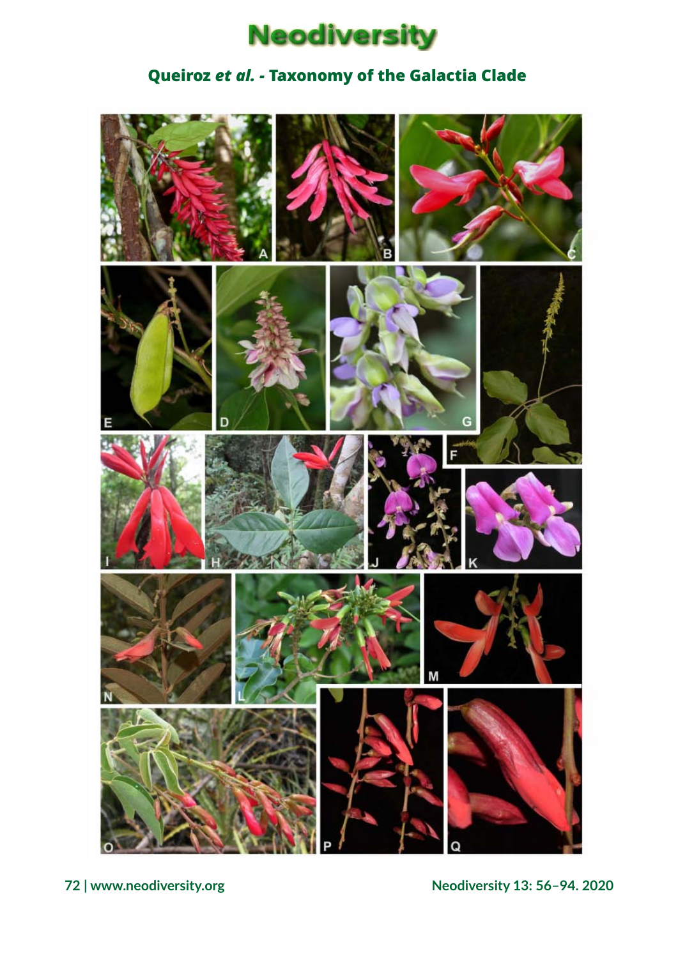



**72 | www.neodiversity.org Neodiversity 13: 56–94. 2020**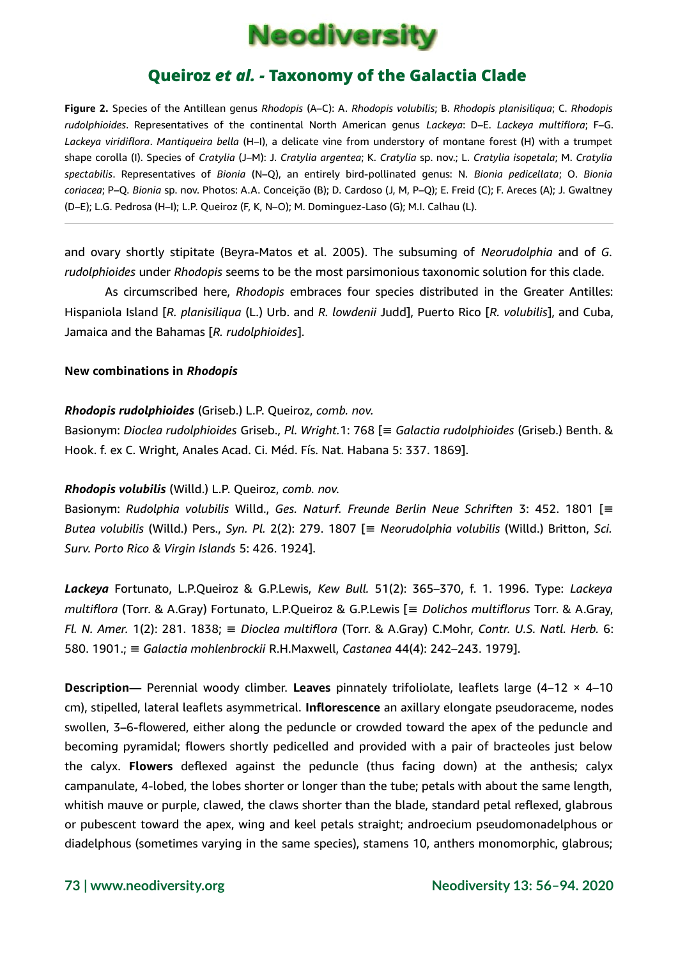# Queiroz *et al. -* Taxonomy of the Galactia Clade

**Figure 2.** Species of the Antillean genus *Rhodopis* (A–C): A. *Rhodopis volubilis*; B. *Rhodopis planisiliqua*; C. *Rhodopis rudolphioides*. Representatives of the continental North American genus *Lackeya*: D–E. *Lackeya multiflora*; F–G. *Lackeya viridiflora*. *Mantiqueira bella* (H–I), a delicate vine from understory of montane forest (H) with a trumpet shape corolla (I). Species of *Cratylia* (J–M): J. *Cratylia argentea*; K. *Cratylia* sp. nov.; L. *Cratylia isopetala*; M. *Cratylia spectabilis*. Representatives of *Bionia* (N–Q), an entirely bird-pollinated genus: N. *Bionia pedicellata*; O. *Bionia coriacea*; P–Q. *Bionia* sp. nov. Photos: A.A. Conceição (B); D. Cardoso (J, M, P–Q); E. Freid (C); F. Areces (A); J. Gwaltney (D–E); L.G. Pedrosa (H–I); L.P. Queiroz (F, K, N–O); M. Dominguez-Laso (G); M.I. Calhau (L).

and ovary shortly stipitate (Beyra-Matos et al. 2005). The subsuming of *Neorudolphia* and of *G. rudolphioides* under *Rhodopis* seems to be the most parsimonious taxonomic solution for this clade.

As circumscribed here, *Rhodopis* embraces four species distributed in the Greater Antilles: Hispaniola Island [*R. planisiliqua* (L.) Urb. and *R. lowdenii* Judd], Puerto Rico [*R. volubilis*], and Cuba, Jamaica and the Bahamas [*R. rudolphioides*].

#### **New combinations in** *Rhodopis*

### *Rhodopis rudolphioides* (Griseb.) L.P. Queiroz, *comb. nov.*

Basionym: *Dioclea rudolphioides* Griseb., *Pl. Wright.*1: 768 [ ≡ *Galactia rudolphioides* (Griseb.) Benth. & Hook. f. ex C. Wright, Anales Acad. Ci. Méd. Fís. Nat. Habana 5: 337. 1869].

### *Rhodopis volubilis* (Willd.) L.P. Queiroz, *comb. nov.*

Basionym: *Rudolphia volubilis* Willd., *Ges. Naturf. Freunde Berlin Neue Schriften* 3: 452. 1801 [≡ *Butea volubilis* (Willd.) Pers., *Syn. Pl.* 2(2): 279. 1807 [ ≡ *Neorudolphia volubilis* (Willd.) Britton, *Sci. Surv. Porto Rico & Virgin Islands* 5: 426. 1924].

*Lackeya* Fortunato, L.P.Queiroz & G.P.Lewis, *Kew Bull.* 51(2): 365–370, f. 1. 1996. Type: *Lackeya multiflora* (Torr. & A.Gray) Fortunato, L.P.Queiroz & G.P.Lewis [ ≡ *Dolichos multiflorus* Torr. & A.Gray, *Fl. N. Amer.* 1(2): 281. 1838; ≡ *Dioclea multiflora* (Torr. & A.Gray) C.Mohr, *Contr. U.S. Natl. Herb.* 6: 580. 1901.; ≡ *Galactia mohlenbrockii* R.H.Maxwell, *Castanea* 44(4): 242–243. 1979].

**Description—** Perennial woody climber. **Leaves** pinnately trifoliolate, leaflets large (4–12 × 4–10 cm), stipelled, lateral leaflets asymmetrical. **Inflorescence** an axillary elongate pseudoraceme, nodes swollen, 3–6-flowered, either along the peduncle or crowded toward the apex of the peduncle and becoming pyramidal; flowers shortly pedicelled and provided with a pair of bracteoles just below the calyx. **Flowers** deflexed against the peduncle (thus facing down) at the anthesis; calyx campanulate, 4-lobed, the lobes shorter or longer than the tube; petals with about the same length, whitish mauve or purple, clawed, the claws shorter than the blade, standard petal reflexed, glabrous or pubescent toward the apex, wing and keel petals straight; androecium pseudomonadelphous or diadelphous (sometimes varying in the same species), stamens 10, anthers monomorphic, glabrous;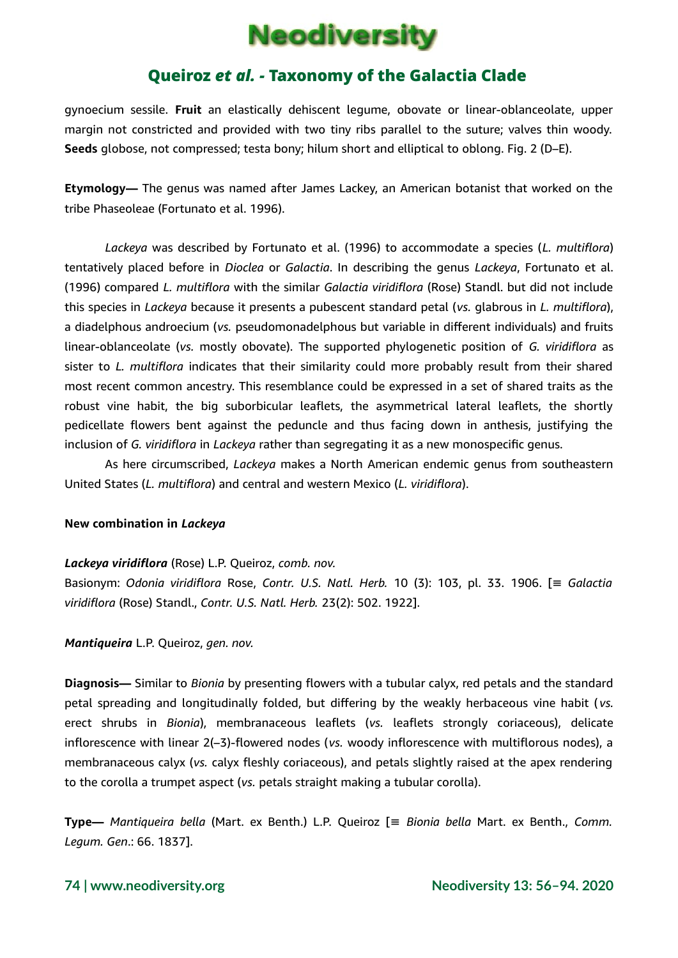# Queiroz *et al. -* Taxonomy of the Galactia Clade

gynoecium sessile. **Fruit** an elastically dehiscent legume, obovate or linear-oblanceolate, upper margin not constricted and provided with two tiny ribs parallel to the suture; valves thin woody. **Seeds** globose, not compressed; testa bony; hilum short and elliptical to oblong. Fig. 2 (D–E).

**Etymology—** The genus was named after James Lackey, an American botanist that worked on the tribe Phaseoleae (Fortunato et al. 1996).

*Lackeya* was described by Fortunato et al. (1996) to accommodate a species (*L. multiflora*) tentatively placed before in *Dioclea* or *Galactia*. In describing the genus *Lackeya*, Fortunato et al. (1996) compared *L. multiflora* with the similar *Galactia viridiflora* (Rose) Standl. but did not include this species in *Lackeya* because it presents a pubescent standard petal (*vs.* glabrous in *L. multiflora*), a diadelphous androecium (*vs.* pseudomonadelphous but variable in different individuals) and fruits linear-oblanceolate (*vs.* mostly obovate). The supported phylogenetic position of *G. viridiflora* as sister to *L. multiflora* indicates that their similarity could more probably result from their shared most recent common ancestry. This resemblance could be expressed in a set of shared traits as the robust vine habit, the big suborbicular leaflets, the asymmetrical lateral leaflets, the shortly pedicellate flowers bent against the peduncle and thus facing down in anthesis, justifying the inclusion of *G. viridiflora* in *Lackeya* rather than segregating it as a new monospecific genus.

As here circumscribed, *Lackeya* makes a North American endemic genus from southeastern United States (*L. multiflora*) and central and western Mexico (*L. viridiflora*).

### **New combination in** *Lackeya*

### *Lackeya viridiflora* (Rose) L.P. Queiroz, *comb. nov.*

Basionym: *Odonia viridiflora* Rose, *Contr. U.S. Natl. Herb.* 10 (3): 103, pl. 33. 1906. [ ≡ *Galactia viridiflora* (Rose) Standl., *Contr. U.S. Natl. Herb.* 23(2): 502. 1922].

*Mantiqueira* L.P. Queiroz, *gen. nov.*

**Diagnosis—** Similar to *Bionia* by presenting flowers with a tubular calyx, red petals and the standard petal spreading and longitudinally folded, but differing by the weakly herbaceous vine habit ( *vs.* erect shrubs in *Bionia*), membranaceous leaflets (*vs.* leaflets strongly coriaceous), delicate inflorescence with linear 2(–3)-flowered nodes (*vs.* woody inflorescence with multiflorous nodes), a membranaceous calyx (*vs.* calyx fleshly coriaceous), and petals slightly raised at the apex rendering to the corolla a trumpet aspect (*vs.* petals straight making a tubular corolla).

**Type—** *Mantiqueira bella* (Mart. ex Benth.) L.P. Queiroz [ ≡ *Bionia bella* Mart. ex Benth., *Comm. Legum. Gen*.: 66. 1837].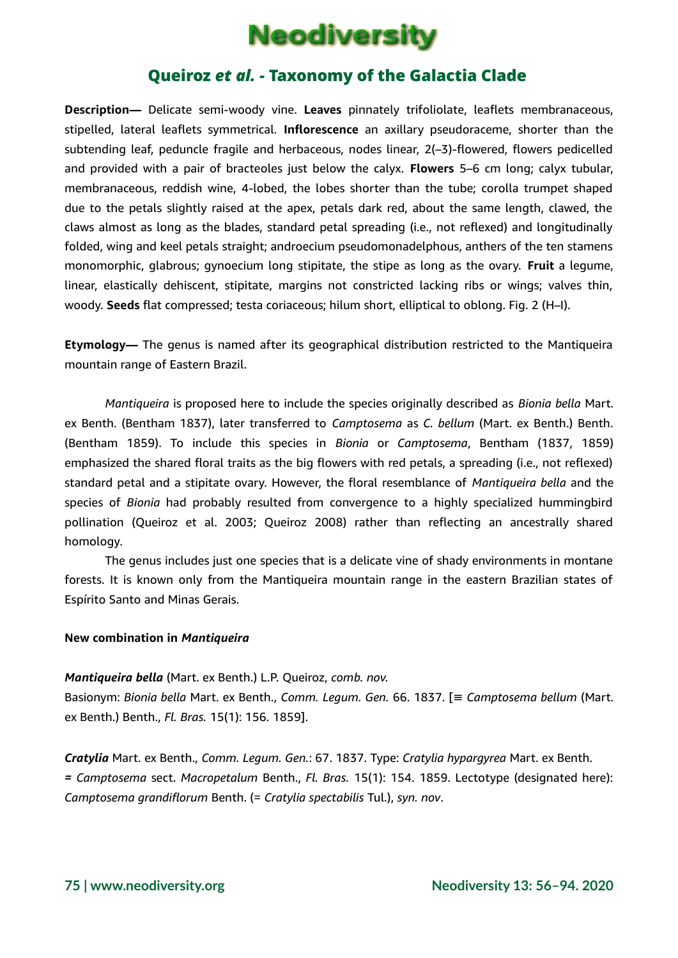

**Description—** Delicate semi-woody vine. **Leaves** pinnately trifoliolate, leaflets membranaceous, stipelled, lateral leaflets symmetrical. **Inflorescence** an axillary pseudoraceme, shorter than the subtending leaf, peduncle fragile and herbaceous, nodes linear, 2(–3)-flowered, flowers pedicelled and provided with a pair of bracteoles just below the calyx. **Flowers** 5–6 cm long; calyx tubular, membranaceous, reddish wine, 4-lobed, the lobes shorter than the tube; corolla trumpet shaped due to the petals slightly raised at the apex, petals dark red, about the same length, clawed, the claws almost as long as the blades, standard petal spreading (i.e., not reflexed) and longitudinally folded, wing and keel petals straight; androecium pseudomonadelphous, anthers of the ten stamens monomorphic, glabrous; gynoecium long stipitate, the stipe as long as the ovary. **Fruit** a legume, linear, elastically dehiscent, stipitate, margins not constricted lacking ribs or wings; valves thin, woody. **Seeds** flat compressed; testa coriaceous; hilum short, elliptical to oblong. Fig. 2 (H–I).

**Etymology—** The genus is named after its geographical distribution restricted to the Mantiqueira mountain range of Eastern Brazil.

*Mantiqueira* is proposed here to include the species originally described as *Bionia bella* Mart. ex Benth. (Bentham 1837), later transferred to *Camptosema* as *C. bellum* (Mart. ex Benth.) Benth. (Bentham 1859). To include this species in *Bionia* or *Camptosema*, Bentham (1837, 1859) emphasized the shared floral traits as the big flowers with red petals, a spreading (i.e., not reflexed) standard petal and a stipitate ovary. However, the floral resemblance of *Mantiqueira bella* and the species of *Bionia* had probably resulted from convergence to a highly specialized hummingbird pollination (Queiroz et al. 2003; Queiroz 2008) rather than reflecting an ancestrally shared homology.

The genus includes just one species that is a delicate vine of shady environments in montane forests. It is known only from the Mantiqueira mountain range in the eastern Brazilian states of Espírito Santo and Minas Gerais.

#### **New combination in** *Mantiqueira*

#### *Mantiqueira bella* (Mart. ex Benth.) L.P. Queiroz, *comb. nov.*

Basionym: *Bionia bella* Mart. ex Benth., *Comm. Legum. Gen.* 66. 1837. [ ≡ *Camptosema bellum* (Mart. ex Benth.) Benth., *Fl. Bras.* 15(1): 156. 1859].

*Cratylia* Mart. ex Benth., *Comm. Legum. Gen.*: 67. 1837. Type: *Cratylia hypargyrea* Mart. ex Benth. *= Camptosema* sect. *Macropetalum* Benth., *Fl. Bras.* 15(1): 154. 1859. Lectotype (designated here): *Camptosema grandiflorum* Benth. (= *Cratylia spectabilis* Tul.), *syn. nov*.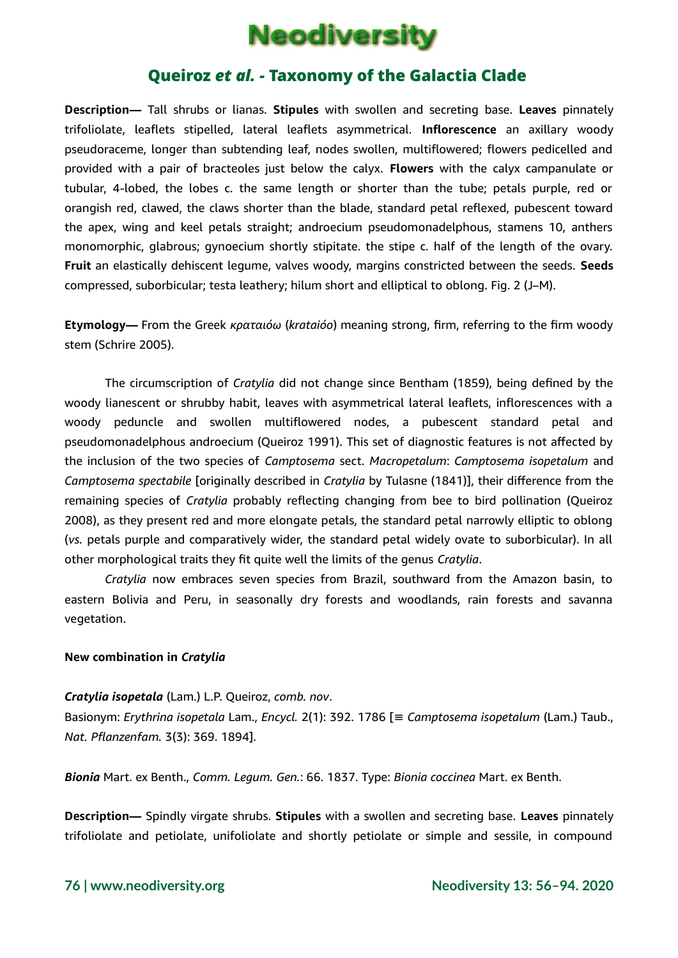

**Description—** Tall shrubs or lianas. **Stipules** with swollen and secreting base. **Leaves** pinnately trifoliolate, leaflets stipelled, lateral leaflets asymmetrical. **Inflorescence** an axillary woody pseudoraceme, longer than subtending leaf, nodes swollen, multiflowered; flowers pedicelled and provided with a pair of bracteoles just below the calyx. **Flowers** with the calyx campanulate or tubular, 4-lobed, the lobes c. the same length or shorter than the tube; petals purple, red or orangish red, clawed, the claws shorter than the blade, standard petal reflexed, pubescent toward the apex, wing and keel petals straight; androecium pseudomonadelphous, stamens 10, anthers monomorphic, glabrous; gynoecium shortly stipitate. the stipe c. half of the length of the ovary. **Fruit** an elastically dehiscent legume, valves woody, margins constricted between the seeds. **Seeds** compressed, suborbicular; testa leathery; hilum short and elliptical to oblong. Fig. 2 (J–M).

**Etymology—** From the Greek *κραταιόω* (*krataióo*) meaning strong, firm, referring to the firm woody stem (Schrire 2005).

The circumscription of *Cratylia* did not change since Bentham (1859), being defined by the woody lianescent or shrubby habit, leaves with asymmetrical lateral leaflets, inflorescences with a woody peduncle and swollen multiflowered nodes, a pubescent standard petal and pseudomonadelphous androecium (Queiroz 1991). This set of diagnostic features is not affected by the inclusion of the two species of *Camptosema* sect. *Macropetalum*: *Camptosema isopetalum* and *Camptosema spectabile* [originally described in *Cratylia* by Tulasne (1841)], their difference from the remaining species of *Cratylia* probably reflecting changing from bee to bird pollination (Queiroz 2008), as they present red and more elongate petals, the standard petal narrowly elliptic to oblong (*vs.* petals purple and comparatively wider, the standard petal widely ovate to suborbicular). In all other morphological traits they fit quite well the limits of the genus *Cratylia*.

*Cratylia* now embraces seven species from Brazil, southward from the Amazon basin, to eastern Bolivia and Peru, in seasonally dry forests and woodlands, rain forests and savanna vegetation.

#### **New combination in** *Cratylia*

#### *Cratylia isopetala* (Lam.) L.P. Queiroz, *comb. nov*.

Basionym: *Erythrina isopetala* Lam., *Encycl.* 2(1): 392. 1786 [ ≡ *Camptosema isopetalum* (Lam.) Taub., *Nat. Pflanzenfam.* 3(3): 369. 1894].

*Bionia* Mart. ex Benth., *Comm. Legum. Gen.*: 66. 1837. Type: *Bionia coccinea* Mart. ex Benth.

**Description—** Spindly virgate shrubs. **Stipules** with a swollen and secreting base. **Leaves** pinnately trifoliolate and petiolate, unifoliolate and shortly petiolate or simple and sessile, in compound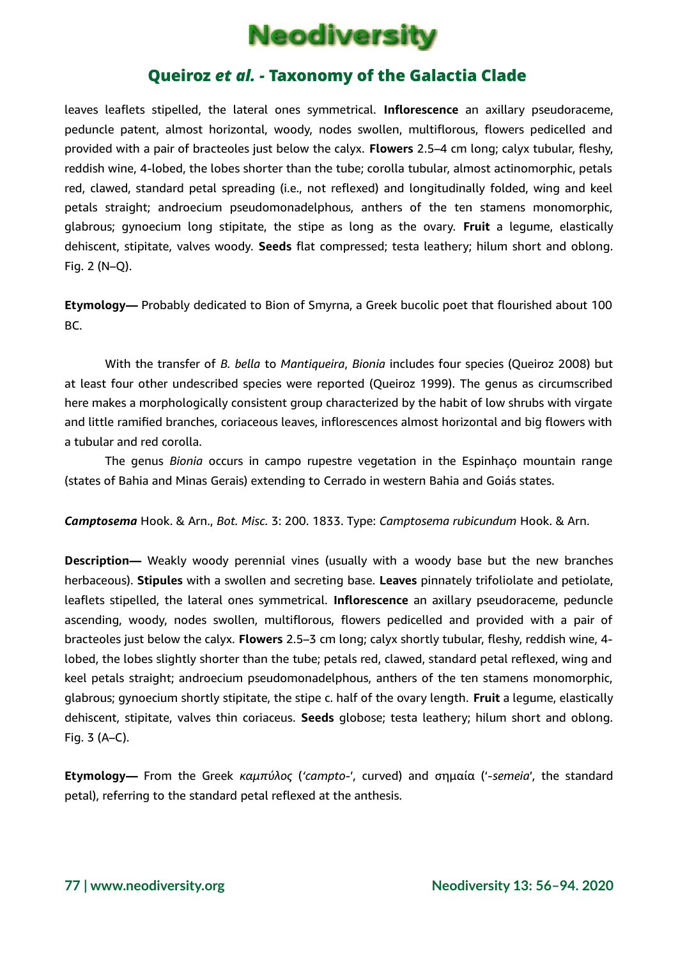

leaves leaflets stipelled, the lateral ones symmetrical. **Inflorescence** an axillary pseudoraceme, peduncle patent, almost horizontal, woody, nodes swollen, multiflorous, flowers pedicelled and provided with a pair of bracteoles just below the calyx. **Flowers** 2.5–4 cm long; calyx tubular, fleshy, reddish wine, 4-lobed, the lobes shorter than the tube; corolla tubular, almost actinomorphic, petals red, clawed, standard petal spreading (i.e., not reflexed) and longitudinally folded, wing and keel petals straight; androecium pseudomonadelphous, anthers of the ten stamens monomorphic, glabrous; gynoecium long stipitate, the stipe as long as the ovary. **Fruit** a legume, elastically dehiscent, stipitate, valves woody. **Seeds** flat compressed; testa leathery; hilum short and oblong. Fig. 2 (N–Q).

**Etymology—** Probably dedicated to Bion of Smyrna, a Greek bucolic poet that flourished about 100 BC.

With the transfer of *B. bella* to *Mantiqueira*, *Bionia* includes four species (Queiroz 2008) but at least four other undescribed species were reported (Queiroz 1999). The genus as circumscribed here makes a morphologically consistent group characterized by the habit of low shrubs with virgate and little ramified branches, coriaceous leaves, inflorescences almost horizontal and big flowers with a tubular and red corolla.

The genus *Bionia* occurs in campo rupestre vegetation in the Espinhaço mountain range (states of Bahia and Minas Gerais) extending to Cerrado in western Bahia and Goiás states.

*Camptosema* Hook. & Arn., *Bot. Misc.* 3: 200. 1833. Type: *Camptosema rubicundum* Hook. & Arn.

**Description—** Weakly woody perennial vines (usually with a woody base but the new branches herbaceous). **Stipules** with a swollen and secreting base. **Leaves** pinnately trifoliolate and petiolate, leaflets stipelled, the lateral ones symmetrical. **Inflorescence** an axillary pseudoraceme, peduncle ascending, woody, nodes swollen, multiflorous, flowers pedicelled and provided with a pair of bracteoles just below the calyx. **Flowers** 2.5–3 cm long; calyx shortly tubular, fleshy, reddish wine, 4 lobed, the lobes slightly shorter than the tube; petals red, clawed, standard petal reflexed, wing and keel petals straight; androecium pseudomonadelphous, anthers of the ten stamens monomorphic, glabrous; gynoecium shortly stipitate, the stipe c. half of the ovary length. **Fruit** a legume, elastically dehiscent, stipitate, valves thin coriaceus. **Seeds** globose; testa leathery; hilum short and oblong. Fig. 3 (A–C).

**Etymology—** From the Greek *καμπύλος* ('campto-', curved) and σημαία ('-*semeia'*, the standard petal), referring to the standard petal reflexed at the anthesis.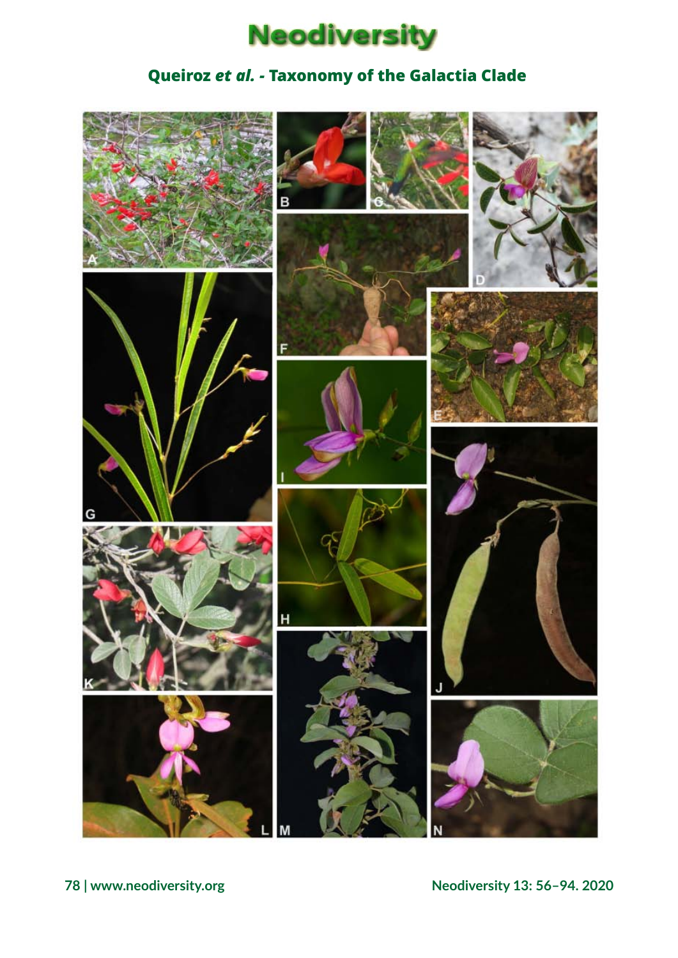

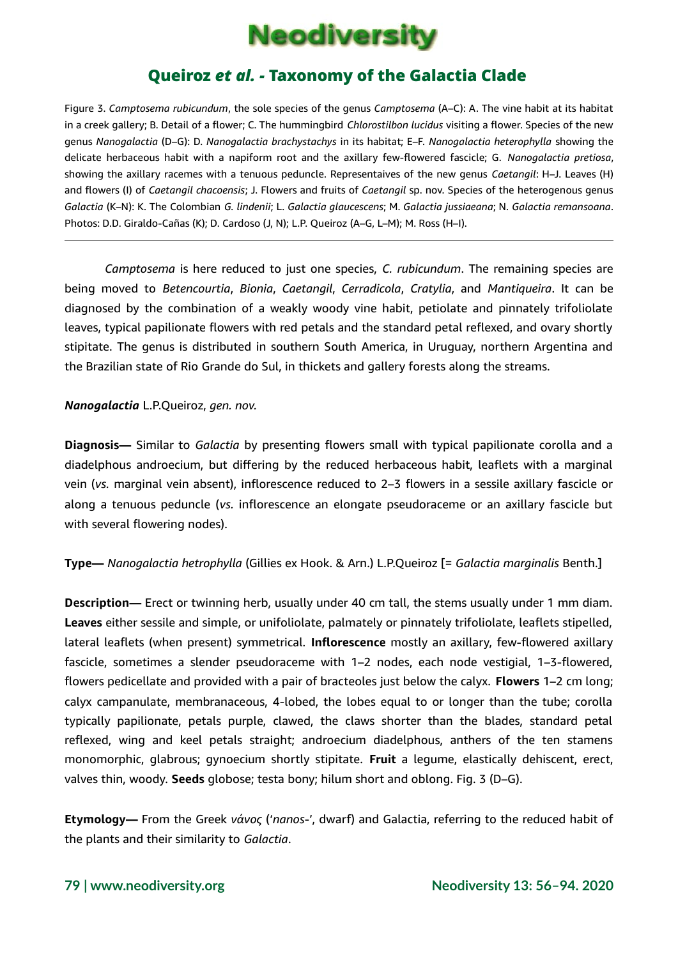# Queiroz *et al. -* Taxonomy of the Galactia Clade

Figure 3. *Camptosema rubicundum*, the sole species of the genus *Camptosema* (A–C): A. The vine habit at its habitat in a creek gallery; B. Detail of a flower; C. The hummingbird *Chlorostilbon lucidus* visiting a flower. Species of the new genus *Nanogalactia* (D–G): D. *Nanogalactia brachystachys* in its habitat; E–F. *Nanogalactia heterophylla* showing the delicate herbaceous habit with a napiform root and the axillary few-flowered fascicle; G. *Nanogalactia pretiosa*, showing the axillary racemes with a tenuous peduncle. Representaives of the new genus *Caetangil*: H–J. Leaves (H) and flowers (I) of *Caetangil chacoensis*; J. Flowers and fruits of *Caetangil* sp. nov. Species of the heterogenous genus *Galactia* (K–N): K. The Colombian *G. lindenii*; L. *Galactia glaucescens*; M. *Galactia jussiaeana*; N. *Galactia remansoana*. Photos: D.D. Giraldo-Cañas (K); D. Cardoso (J, N); L.P. Queiroz (A–G, L–M); M. Ross (H–I).

*Camptosema* is here reduced to just one species, *C. rubicundum*. The remaining species are being moved to *Betencourtia*, *Bionia*, *Caetangil*, *Cerradicola*, *Cratylia*, and *Mantiqueira*. It can be diagnosed by the combination of a weakly woody vine habit, petiolate and pinnately trifoliolate leaves, typical papilionate flowers with red petals and the standard petal reflexed, and ovary shortly stipitate. The genus is distributed in southern South America, in Uruguay, northern Argentina and the Brazilian state of Rio Grande do Sul, in thickets and gallery forests along the streams.

### *Nanogalactia* L.P.Queiroz, *gen. nov.*

**Diagnosis—** Similar to *Galactia* by presenting flowers small with typical papilionate corolla and a diadelphous androecium, but differing by the reduced herbaceous habit, leaflets with a marginal vein (*vs.* marginal vein absent), inflorescence reduced to 2–3 flowers in a sessile axillary fascicle or along a tenuous peduncle (*vs.* inflorescence an elongate pseudoraceme or an axillary fascicle but with several flowering nodes).

### **Type—** *Nanogalactia hetrophylla* (Gillies ex Hook. & Arn.) L.P.Queiroz [= *Galactia marginalis* Benth.]

**Description—** Erect or twinning herb, usually under 40 cm tall, the stems usually under 1 mm diam. **Leaves** either sessile and simple, or unifoliolate, palmately or pinnately trifoliolate, leaflets stipelled, lateral leaflets (when present) symmetrical. **Inflorescence** mostly an axillary, few-flowered axillary fascicle, sometimes a slender pseudoraceme with 1–2 nodes, each node vestigial, 1–3-flowered, flowers pedicellate and provided with a pair of bracteoles just below the calyx. **Flowers** 1–2 cm long; calyx campanulate, membranaceous, 4-lobed, the lobes equal to or longer than the tube; corolla typically papilionate, petals purple, clawed, the claws shorter than the blades, standard petal reflexed, wing and keel petals straight; androecium diadelphous, anthers of the ten stamens monomorphic, glabrous; gynoecium shortly stipitate. **Fruit** a legume, elastically dehiscent, erect, valves thin, woody. **Seeds** globose; testa bony; hilum short and oblong. Fig. 3 (D–G).

**Etymology—** From the Greek *να/ νός* ('*nanos*-', dwarf) and Galactia, referring to the reduced habit of the plants and their similarity to *Galactia*.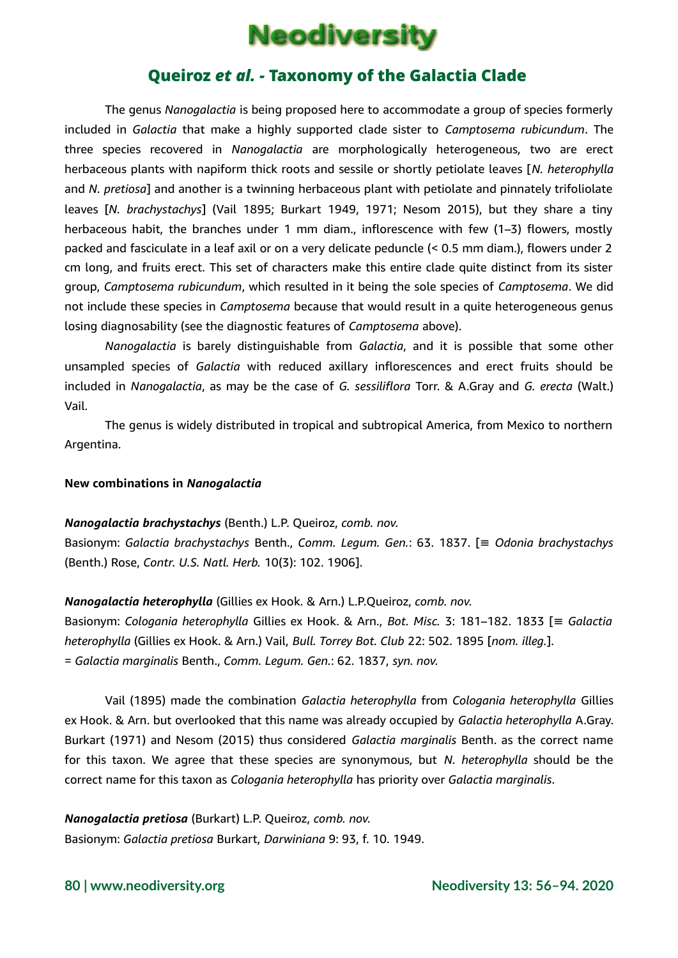# Queiroz *et al. -* Taxonomy of the Galactia Clade

The genus *Nanogalactia* is being proposed here to accommodate a group of species formerly included in *Galactia* that make a highly supported clade sister to *Camptosema rubicundum*. The three species recovered in *Nanogalactia* are morphologically heterogeneous, two are erect herbaceous plants with napiform thick roots and sessile or shortly petiolate leaves [*N. heterophylla* and *N. pretiosa*] and another is a twinning herbaceous plant with petiolate and pinnately trifoliolate leaves [*N. brachystachys*] (Vail 1895; Burkart 1949, 1971; Nesom 2015), but they share a tiny herbaceous habit, the branches under 1 mm diam., inflorescence with few (1-3) flowers, mostly packed and fasciculate in a leaf axil or on a very delicate peduncle (< 0.5 mm diam.), flowers under 2 cm long, and fruits erect. This set of characters make this entire clade quite distinct from its sister group, *Camptosema rubicundum*, which resulted in it being the sole species of *Camptosema*. We did not include these species in *Camptosema* because that would result in a quite heterogeneous genus losing diagnosability (see the diagnostic features of *Camptosema* above).

*Nanogalactia* is barely distinguishable from *Galactia*, and it is possible that some other unsampled species of *Galactia* with reduced axillary inflorescences and erect fruits should be included in *Nanogalactia*, as may be the case of *G. sessiliflora* Torr. & A.Gray and *G. erecta* (Walt.) Vail.

The genus is widely distributed in tropical and subtropical America, from Mexico to northern Argentina.

#### **New combinations in** *Nanogalactia*

### *Nanogalactia brachystachys* (Benth.) L.P. Queiroz, *comb. nov.*

Basionym: *Galactia brachystachys* Benth., *Comm. Legum. Gen.*: 63. 1837. [ ≡ *Odonia brachystachys* (Benth.) Rose, *Contr. U.S. Natl. Herb.* 10(3): 102. 1906].

### *Nanogalactia heterophylla* (Gillies ex Hook. & Arn.) L.P.Queiroz, *comb. nov.*

Basionym: *Cologania heterophylla* Gillies ex Hook. & Arn., *Bot. Misc.* 3: 181–182. 1833 [ ≡ *Galactia heterophylla* (Gillies ex Hook. & Arn.) Vail, *Bull. Torrey Bot. Club* 22: 502. 1895 [*nom. illeg.*]. = *Galactia marginalis* Benth., *Comm. Legum. Gen.*: 62. 1837, *syn. nov.*

Vail (1895) made the combination *Galactia heterophylla* from *Cologania heterophylla* Gillies ex Hook. & Arn. but overlooked that this name was already occupied by *Galactia heterophylla* A.Gray. Burkart (1971) and Nesom (2015) thus considered *Galactia marginalis* Benth. as the correct name for this taxon. We agree that these species are synonymous, but *N. heterophylla* should be the correct name for this taxon as *Cologania heterophylla* has priority over *Galactia marginalis*.

*Nanogalactia pretiosa* (Burkart) L.P. Queiroz, *comb. nov.* Basionym: *Galactia pretiosa* Burkart, *Darwiniana* 9: 93, f. 10. 1949.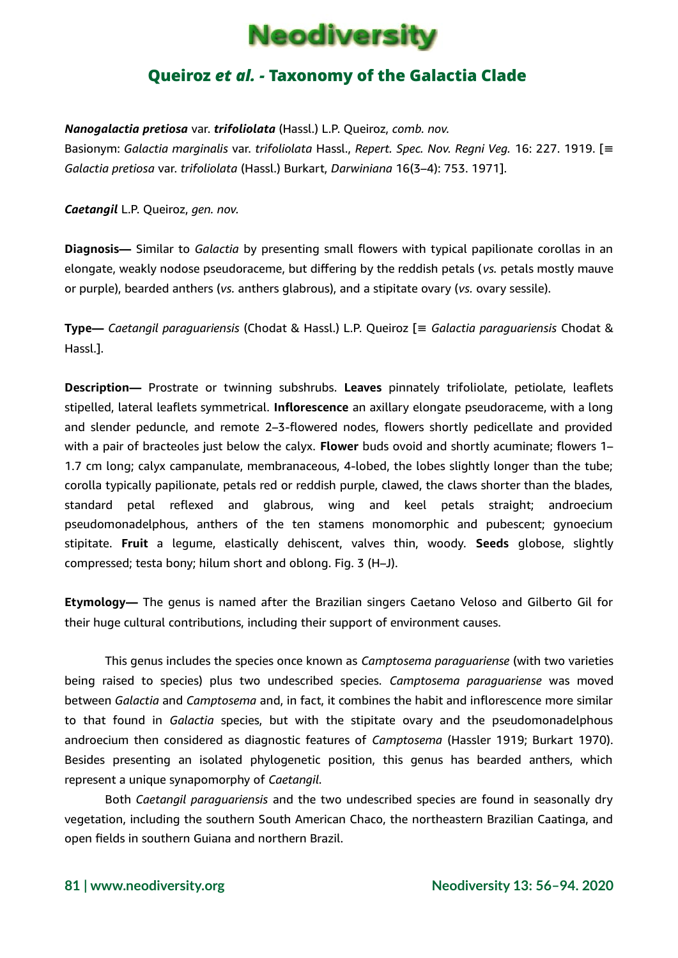

*Nanogalactia pretiosa* var. *trifoliolata* (Hassl.) L.P. Queiroz, *comb. nov.* Basionym: *Galactia marginalis* var. *trifoliolata* Hassl., *Repert. Spec. Nov. Regni Veg.* 16: 227. 1919. [≡ *Galactia pretiosa* var. *trifoliolata* (Hassl.) Burkart, *Darwiniana* 16(3–4): 753. 1971].

*Caetangil* L.P. Queiroz, *gen. nov.*

**Diagnosis—** Similar to *Galactia* by presenting small flowers with typical papilionate corollas in an elongate, weakly nodose pseudoraceme, but differing by the reddish petals (*vs.* petals mostly mauve or purple), bearded anthers (*vs.* anthers glabrous), and a stipitate ovary (*vs.* ovary sessile).

**Type—** *Caetangil paraguariensis* (Chodat & Hassl.) L.P. Queiroz [ ≡ *Galactia paraguariensis* Chodat & Hassl.].

**Description—** Prostrate or twinning subshrubs. **Leaves** pinnately trifoliolate, petiolate, leaflets stipelled, lateral leaflets symmetrical. **Inflorescence** an axillary elongate pseudoraceme, with a long and slender peduncle, and remote 2–3-flowered nodes, flowers shortly pedicellate and provided with a pair of bracteoles just below the calyx. **Flower** buds ovoid and shortly acuminate; flowers 1– 1.7 cm long; calyx campanulate, membranaceous, 4-lobed, the lobes slightly longer than the tube; corolla typically papilionate, petals red or reddish purple, clawed, the claws shorter than the blades, standard petal reflexed and glabrous, wing and keel petals straight; androecium pseudomonadelphous, anthers of the ten stamens monomorphic and pubescent; gynoecium stipitate. **Fruit** a legume, elastically dehiscent, valves thin, woody. **Seeds** globose, slightly compressed; testa bony; hilum short and oblong. Fig. 3 (H–J).

**Etymology—** The genus is named after the Brazilian singers Caetano Veloso and Gilberto Gil for their huge cultural contributions, including their support of environment causes.

This genus includes the species once known as *Camptosema paraguariense* (with two varieties being raised to species) plus two undescribed species. *Camptosema paraguariense* was moved between *Galactia* and *Camptosema* and, in fact, it combines the habit and inflorescence more similar to that found in *Galactia* species, but with the stipitate ovary and the pseudomonadelphous androecium then considered as diagnostic features of *Camptosema* (Hassler 1919; Burkart 1970). Besides presenting an isolated phylogenetic position, this genus has bearded anthers, which represent a unique synapomorphy of *Caetangil*.

Both *Caetangil paraguariensis* and the two undescribed species are found in seasonally dry vegetation, including the southern South American Chaco, the northeastern Brazilian Caatinga, and open fields in southern Guiana and northern Brazil.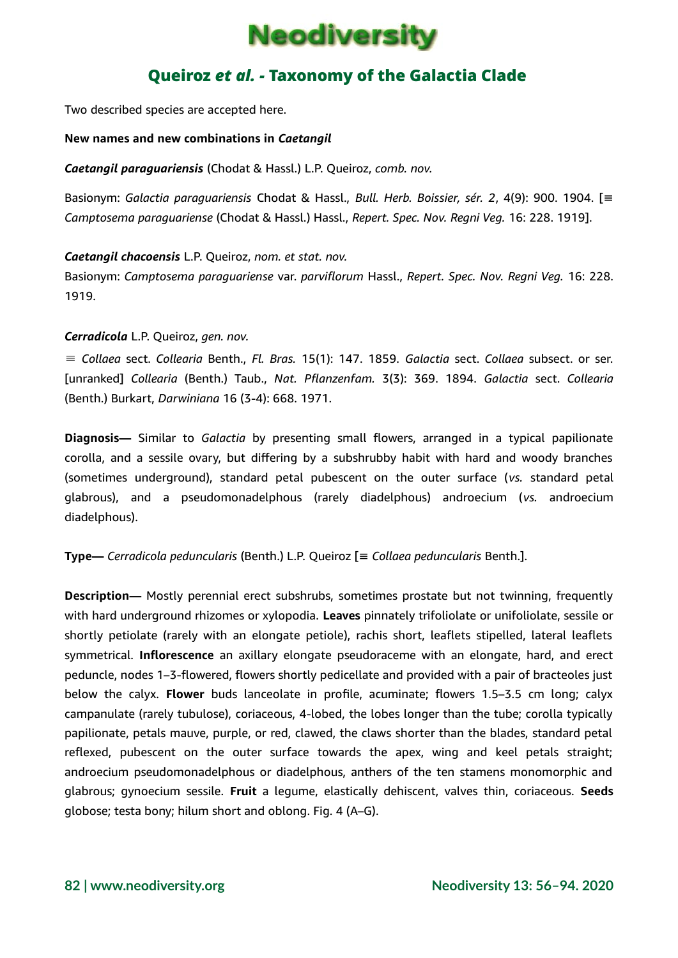

Two described species are accepted here.

#### **New names and new combinations in** *Caetangil*

*Caetangil paraguariensis* (Chodat & Hassl.) L.P. Queiroz, *comb. nov.*

Basionym: *Galactia paraguariensis* Chodat & Hassl., *Bull. Herb. Boissier, sér. 2*, 4(9): 900. 1904. [≡ *Camptosema paraguariense* (Chodat & Hassl.) Hassl., *Repert. Spec. Nov. Regni Veg.* 16: 228. 1919].

#### *Caetangil chacoensis* L.P. Queiroz, *nom. et stat. nov.*

Basionym: *Camptosema paraguariense* var. *parviflorum* Hassl., *Repert. Spec. Nov. Regni Veg.* 16: 228. 1919.

#### *Cerradicola* L.P. Queiroz, *gen. nov.*

≡ *Collaea* sect. *Collearia* Benth., *Fl. Bras.* 15(1): 147. 1859. *Galactia* sect. *Collaea* subsect. or ser. [unranked] *Collearia* (Benth.) Taub., *Nat. Pflanzenfam.* 3(3): 369. 1894. *Galactia* sect. *Collearia* (Benth.) Burkart, *Darwiniana* 16 (3-4): 668. 1971.

**Diagnosis—** Similar to *Galactia* by presenting small flowers, arranged in a typical papilionate corolla, and a sessile ovary, but differing by a subshrubby habit with hard and woody branches (sometimes underground), standard petal pubescent on the outer surface (*vs.* standard petal glabrous), and a pseudomonadelphous (rarely diadelphous) androecium (*vs.* androecium diadelphous).

### **Type—** *Cerradicola peduncularis* (Benth.) L.P. Queiroz [ ≡ *Collaea peduncularis* Benth.].

**Description—** Mostly perennial erect subshrubs, sometimes prostate but not twinning, frequently with hard underground rhizomes or xylopodia. **Leaves** pinnately trifoliolate or unifoliolate, sessile or shortly petiolate (rarely with an elongate petiole), rachis short, leaflets stipelled, lateral leaflets symmetrical. **Inflorescence** an axillary elongate pseudoraceme with an elongate, hard, and erect peduncle, nodes 1–3-flowered, flowers shortly pedicellate and provided with a pair of bracteoles just below the calyx. **Flower** buds lanceolate in profile, acuminate; flowers 1.5–3.5 cm long; calyx campanulate (rarely tubulose), coriaceous, 4-lobed, the lobes longer than the tube; corolla typically papilionate, petals mauve, purple, or red, clawed, the claws shorter than the blades, standard petal reflexed, pubescent on the outer surface towards the apex, wing and keel petals straight; androecium pseudomonadelphous or diadelphous, anthers of the ten stamens monomorphic and glabrous; gynoecium sessile. **Fruit** a legume, elastically dehiscent, valves thin, coriaceous. **Seeds** globose; testa bony; hilum short and oblong. Fig. 4 (A–G).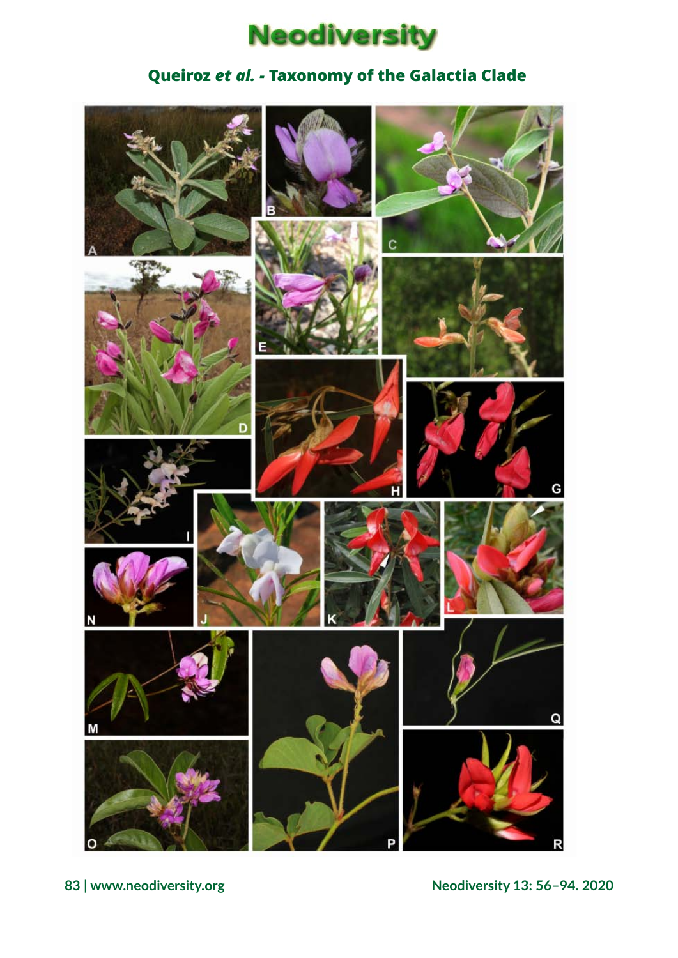

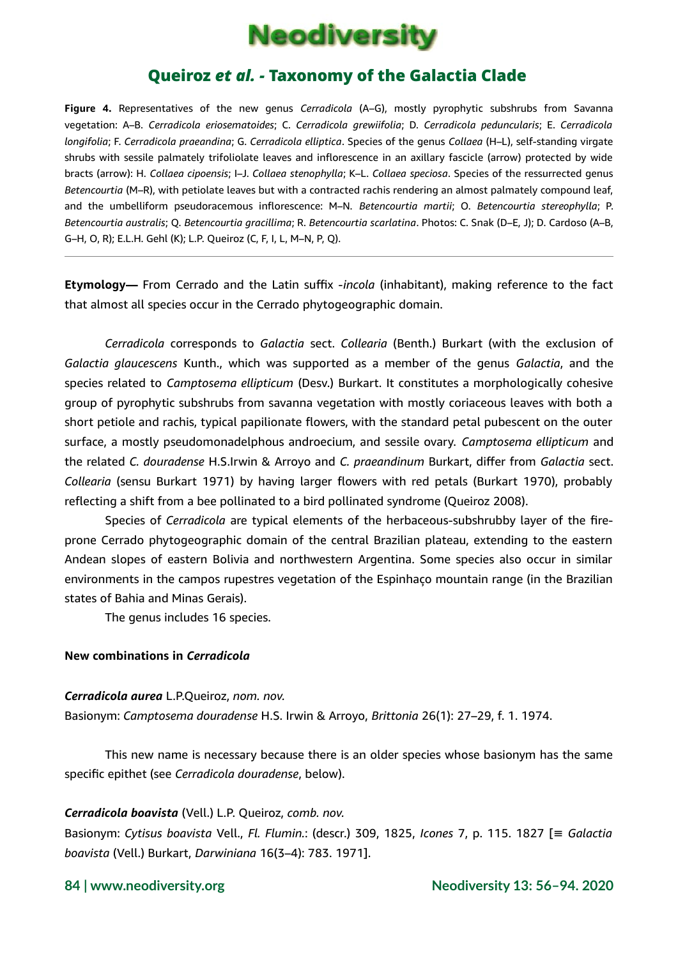

**Figure 4.** Representatives of the new genus *Cerradicola* (A–G), mostly pyrophytic subshrubs from Savanna vegetation: A–B. *Cerradicola eriosematoides*; C. *Cerradicola grewiifolia*; D. *Cerradicola peduncularis*; E. *Cerradicola longifolia*; F. *Cerradicola praeandina*; G. *Cerradicola elliptica*. Species of the genus *Collaea* (H–L), self-standing virgate shrubs with sessile palmately trifoliolate leaves and inflorescence in an axillary fascicle (arrow) protected by wide bracts (arrow): H. *Collaea cipoensis*; I–J. *Collaea stenophylla*; K–L. *Collaea speciosa*. Species of the ressurrected genus *Betencourtia* (M–R), with petiolate leaves but with a contracted rachis rendering an almost palmately compound leaf, and the umbelliform pseudoracemous inflorescence: M–N. *Betencourtia martii*; O. *Betencourtia stereophylla*; P. *Betencourtia australis*; Q. *Betencourtia gracillima*; R. *Betencourtia scarlatina*. Photos: C. Snak (D–E, J); D. Cardoso (A–B, G–H, O, R); E.L.H. Gehl (K); L.P. Queiroz (C, F, I, L, M–N, P, Q).

**Etymology—** From Cerrado and the Latin suffix -*incola* (inhabitant), making reference to the fact that almost all species occur in the Cerrado phytogeographic domain.

*Cerradicola* corresponds to *Galactia* sect. *Collearia* (Benth.) Burkart (with the exclusion of *Galactia glaucescens* Kunth., which was supported as a member of the genus *Galactia*, and the species related to *Camptosema ellipticum* (Desv.) Burkart. It constitutes a morphologically cohesive group of pyrophytic subshrubs from savanna vegetation with mostly coriaceous leaves with both a short petiole and rachis, typical papilionate flowers, with the standard petal pubescent on the outer surface, a mostly pseudomonadelphous androecium, and sessile ovary. *Camptosema ellipticum* and the related *C. douradense* H.S.Irwin & Arroyo and *C. praeandinum* Burkart, differ from *Galactia* sect. *Collearia* (sensu Burkart 1971) by having larger flowers with red petals (Burkart 1970), probably reflecting a shift from a bee pollinated to a bird pollinated syndrome (Queiroz 2008).

Species of *Cerradicola* are typical elements of the herbaceous-subshrubby layer of the fireprone Cerrado phytogeographic domain of the central Brazilian plateau, extending to the eastern Andean slopes of eastern Bolivia and northwestern Argentina. Some species also occur in similar environments in the campos rupestres vegetation of the Espinhaço mountain range (in the Brazilian states of Bahia and Minas Gerais).

The genus includes 16 species.

#### **New combinations in** *Cerradicola*

#### *Cerradicola aurea* L.P.Queiroz, *nom. nov.*

Basionym: *Camptosema douradense* H.S. Irwin & Arroyo, *Brittonia* 26(1): 27–29, f. 1. 1974.

This new name is necessary because there is an older species whose basionym has the same specific epithet (see *Cerradicola douradense*, below).

#### *Cerradicola boavista* (Vell.) L.P. Queiroz, *comb. nov.*

Basionym: *Cytisus boavista* Vell., *Fl. Flumin.*: (descr.) 309, 1825, *Icones* 7, p. 115. 1827 [ ≡ *Galactia boavista* (Vell.) Burkart, *Darwiniana* 16(3–4): 783. 1971].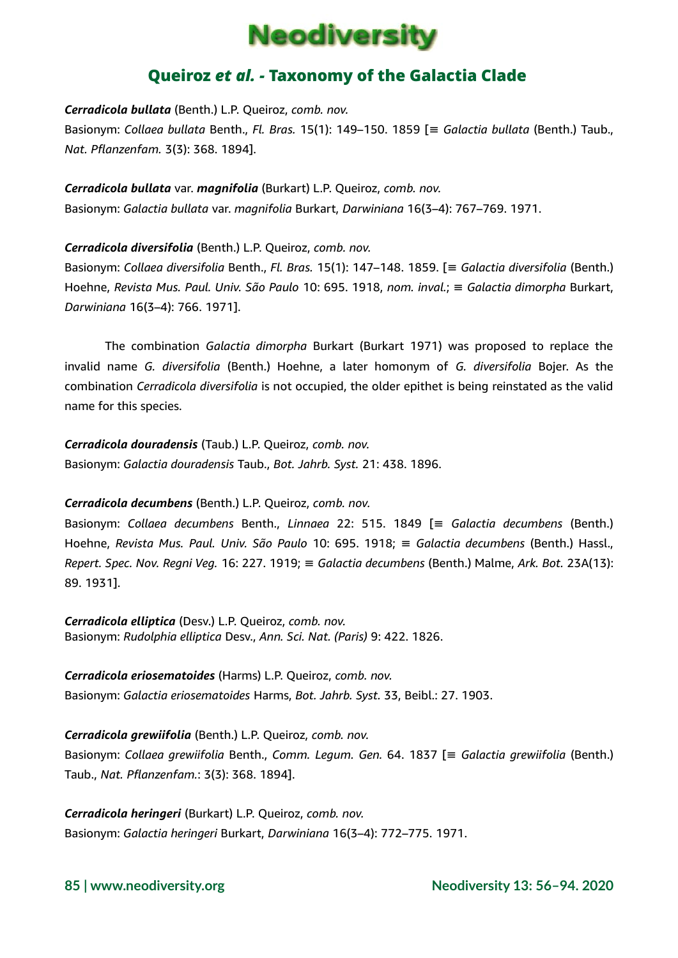# Queiroz *et al. -* Taxonomy of the Galactia Clade

*Cerradicola bullata* (Benth.) L.P. Queiroz, *comb. nov.*

Basionym: *Collaea bullata* Benth., *Fl. Bras.* 15(1): 149–150. 1859 [ ≡ *Galactia bullata* (Benth.) Taub., *Nat. Pflanzenfam.* 3(3): 368. 1894].

*Cerradicola bullata* var. *magnifolia* (Burkart) L.P. Queiroz, *comb. nov.* Basionym: *Galactia bullata* var. *magnifolia* Burkart, *Darwiniana* 16(3–4): 767–769. 1971.

### *Cerradicola diversifolia* (Benth.) L.P. Queiroz, *comb. nov.*

Basionym: *Collaea diversifolia* Benth., *Fl. Bras.* 15(1): 147–148. 1859. [ ≡ *Galactia diversifolia* (Benth.) Hoehne, *Revista Mus. Paul. Univ. São Paulo* 10: 695. 1918, *nom. inval.*; ≡ *Galactia dimorpha* Burkart, *Darwiniana* 16(3–4): 766. 1971].

The combination *Galactia dimorpha* Burkart (Burkart 1971) was proposed to replace the invalid name *G. diversifolia* (Benth.) Hoehne, a later homonym of *G. diversifolia* Bojer. As the combination *Cerradicola diversifolia* is not occupied, the older epithet is being reinstated as the valid name for this species.

*Cerradicola douradensis* (Taub.) L.P. Queiroz, *comb. nov.* Basionym: *Galactia douradensis* Taub., *Bot. Jahrb. Syst.* 21: 438. 1896.

### *Cerradicola decumbens* (Benth.) L.P. Queiroz, *comb. nov.*

Basionym: *Collaea decumbens* Benth., *Linnaea* 22: 515. 1849 [ ≡ *Galactia decumbens* (Benth.) Hoehne, *Revista Mus. Paul. Univ. São Paulo* 10: 695. 1918; ≡ *Galactia decumbens* (Benth.) Hassl., *Repert. Spec. Nov. Regni Veg.* 16: 227. 1919; ≡ *Galactia decumbens* (Benth.) Malme, *Ark. Bot.* 23A(13): 89. 1931].

*Cerradicola elliptica* (Desv.) L.P. Queiroz, *comb. nov.* Basionym: *Rudolphia elliptica* Desv., *Ann. Sci. Nat. (Paris)* 9: 422. 1826.

*Cerradicola eriosematoides* (Harms) L.P. Queiroz, *comb. nov.* Basionym: *Galactia eriosematoides* Harms, *Bot. Jahrb. Syst.* 33, Beibl.: 27. 1903.

*Cerradicola grewiifolia* (Benth.) L.P. Queiroz, *comb. nov.* Basionym: *Collaea grewiifolia* Benth., *Comm. Legum. Gen.* 64. 1837 [ ≡ *Galactia grewiifolia* (Benth.) Taub., *Nat. Pflanzenfam.*: 3(3): 368. 1894].

*Cerradicola heringeri* (Burkart) L.P. Queiroz, *comb. nov.* Basionym: *Galactia heringeri* Burkart, *Darwiniana* 16(3–4): 772–775. 1971.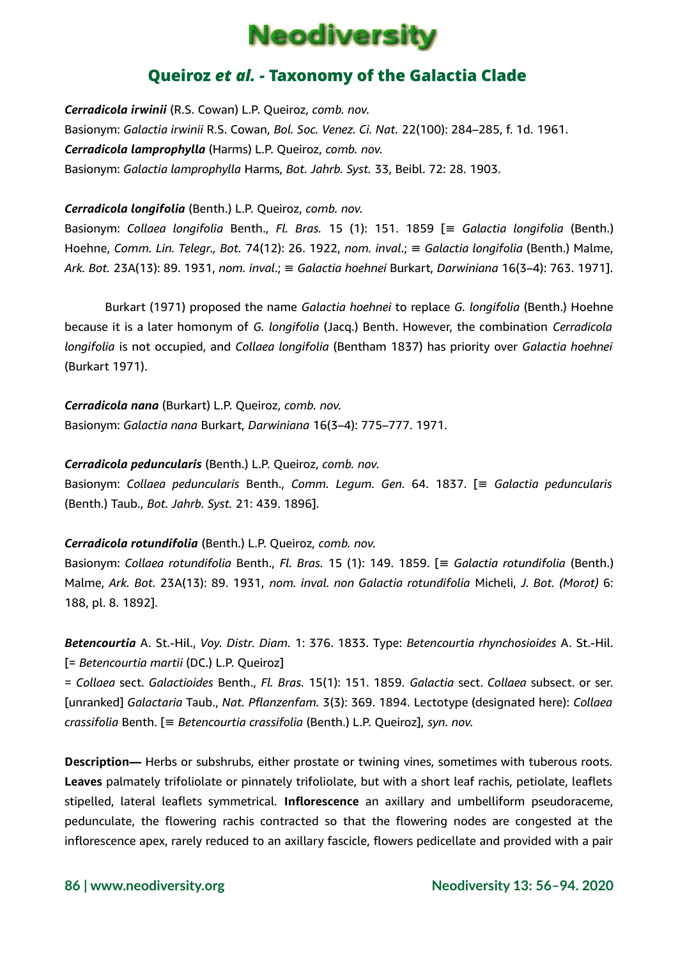# Queiroz *et al. -* Taxonomy of the Galactia Clade

*Cerradicola irwinii* (R.S. Cowan) L.P. Queiroz, *comb. nov.* Basionym: *Galactia irwinii* R.S. Cowan, *Bol. Soc. Venez. Ci. Nat.* 22(100): 284–285, f. 1d. 1961. *Cerradicola lamprophylla* (Harms) L.P. Queiroz, *comb. nov.* Basionym: *Galactia lamprophylla* Harms, *Bot. Jahrb. Syst.* 33, Beibl. 72: 28. 1903.

### *Cerradicola longifolia* (Benth.) L.P. Queiroz, *comb. nov.*

Basionym: *Collaea longifolia* Benth., *Fl. Bras.* 15 (1): 151. 1859 [ ≡ *Galactia longifolia* (Benth.) Hoehne, *Comm. Lin. Telegr., Bot.* 74(12): 26. 1922, *nom. inval*.; ≡ *Galactia longifolia* (Benth.) Malme, *Ark. Bot.* 23A(13): 89. 1931, *nom. inval*.; ≡ *Galactia hoehnei* Burkart, *Darwiniana* 16(3–4): 763. 1971].

Burkart (1971) proposed the name *Galactia hoehnei* to replace *G. longifolia* (Benth.) Hoehne because it is a later homonym of *G. longifolia* (Jacq.) Benth. However, the combination *Cerradicola longifolia* is not occupied, and *Collaea longifolia* (Bentham 1837) has priority over *Galactia hoehnei* (Burkart 1971).

*Cerradicola nana* (Burkart) L.P. Queiroz, *comb. nov.* Basionym: *Galactia nana* Burkart, *Darwiniana* 16(3–4): 775–777. 1971.

### *Cerradicola peduncularis* (Benth.) L.P. Queiroz, *comb. nov.*

Basionym: *Collaea peduncularis* Benth., *Comm. Legum. Gen.* 64. 1837. [ ≡ *Galactia peduncularis* (Benth.) Taub., *Bot. Jahrb. Syst.* 21: 439. 1896].

### *Cerradicola rotundifolia* (Benth.) L.P. Queiroz, *comb. nov.*

Basionym: *Collaea rotundifolia* Benth., *Fl. Bras.* 15 (1): 149. 1859. [ ≡ *Galactia rotundifolia* (Benth.) Malme, *Ark. Bot.* 23A(13): 89. 1931, *nom. inval. non Galactia rotundifolia* Micheli, *J. Bot. (Morot)* 6: 188, pl. 8. 1892].

*Betencourtia* A. St.-Hil., *Voy. Distr. Diam.* 1: 376. 1833. Type: *Betencourtia rhynchosioides* A. St.-Hil. [= *Betencourtia martii* (DC.) L.P. Queiroz]

= *Collaea* sect. *Galactioides* Benth., *Fl. Bras.* 15(1): 151. 1859. *Galactia* sect. *Collaea* subsect. or ser. [unranked] *Galactaria* Taub., *Nat. Pflanzenfam.* 3(3): 369. 1894. Lectotype (designated here): *Collaea crassifolia* Benth. [ ≡ *Betencourtia crassifolia* (Benth.) L.P. Queiroz], *syn. nov.*

**Description—** Herbs or subshrubs, either prostate or twining vines, sometimes with tuberous roots. **Leaves** palmately trifoliolate or pinnately trifoliolate, but with a short leaf rachis, petiolate, leaflets stipelled, lateral leaflets symmetrical. **Inflorescence** an axillary and umbelliform pseudoraceme, pedunculate, the flowering rachis contracted so that the flowering nodes are congested at the inflorescence apex, rarely reduced to an axillary fascicle, flowers pedicellate and provided with a pair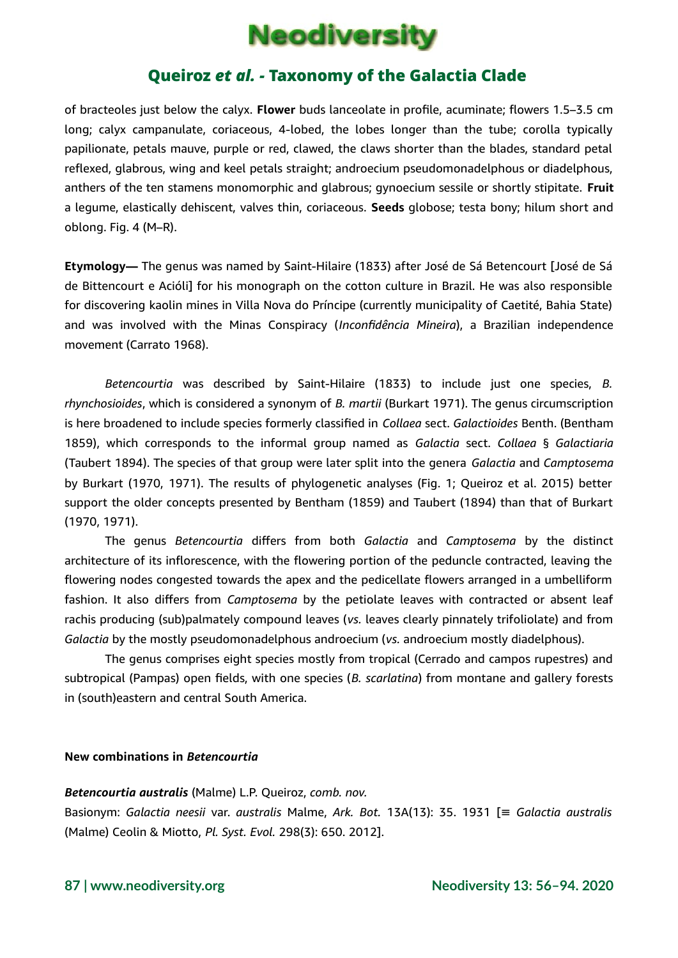# Queiroz *et al. -* Taxonomy of the Galactia Clade

of bracteoles just below the calyx. **Flower** buds lanceolate in profile, acuminate; flowers 1.5–3.5 cm long; calyx campanulate, coriaceous, 4-lobed, the lobes longer than the tube; corolla typically papilionate, petals mauve, purple or red, clawed, the claws shorter than the blades, standard petal reflexed, glabrous, wing and keel petals straight; androecium pseudomonadelphous or diadelphous, anthers of the ten stamens monomorphic and glabrous; gynoecium sessile or shortly stipitate. **Fruit** a legume, elastically dehiscent, valves thin, coriaceous. **Seeds** globose; testa bony; hilum short and oblong. Fig. 4 (M–R).

**Etymology—** The genus was named by Saint-Hilaire (1833) after José de Sá Betencourt [José de Sá de Bittencourt e Acióli] for his monograph on the cotton culture in Brazil. He was also responsible for discovering kaolin mines in Villa Nova do Príncipe (currently municipality of Caetité, Bahia State) and was involved with the Minas Conspiracy (*Inconfidência Mineira*), a Brazilian independence movement (Carrato 1968).

*Betencourtia* was described by Saint-Hilaire (1833) to include just one species, *B. rhynchosioides*, which is considered a synonym of *B. martii* (Burkart 1971). The genus circumscription is here broadened to include species formerly classified in *Collaea* sect. *Galactioides* Benth. (Bentham 1859), which corresponds to the informal group named as *Galactia* sect. *Collaea* § *Galactiaria* (Taubert 1894). The species of that group were later split into the genera *Galactia* and *Camptosema* by Burkart (1970, 1971). The results of phylogenetic analyses (Fig. 1; Queiroz et al. 2015) better support the older concepts presented by Bentham (1859) and Taubert (1894) than that of Burkart (1970, 1971).

The genus *Betencourtia* differs from both *Galactia* and *Camptosema* by the distinct architecture of its inflorescence, with the flowering portion of the peduncle contracted, leaving the flowering nodes congested towards the apex and the pedicellate flowers arranged in a umbelliform fashion. It also differs from *Camptosema* by the petiolate leaves with contracted or absent leaf rachis producing (sub)palmately compound leaves (*vs.* leaves clearly pinnately trifoliolate) and from *Galactia* by the mostly pseudomonadelphous androecium (*vs.* androecium mostly diadelphous).

The genus comprises eight species mostly from tropical (Cerrado and campos rupestres) and subtropical (Pampas) open fields, with one species (*B. scarlatina*) from montane and gallery forests in (south)eastern and central South America.

### **New combinations in** *Betencourtia*

*Betencourtia australis* (Malme) L.P. Queiroz, *comb. nov.*

Basionym: *Galactia neesii* var. *australis* Malme, *Ark. Bot.* 13A(13): 35. 1931 [ ≡ *Galactia australis* (Malme) Ceolin & Miotto, *Pl. Syst. Evol.* 298(3): 650. 2012].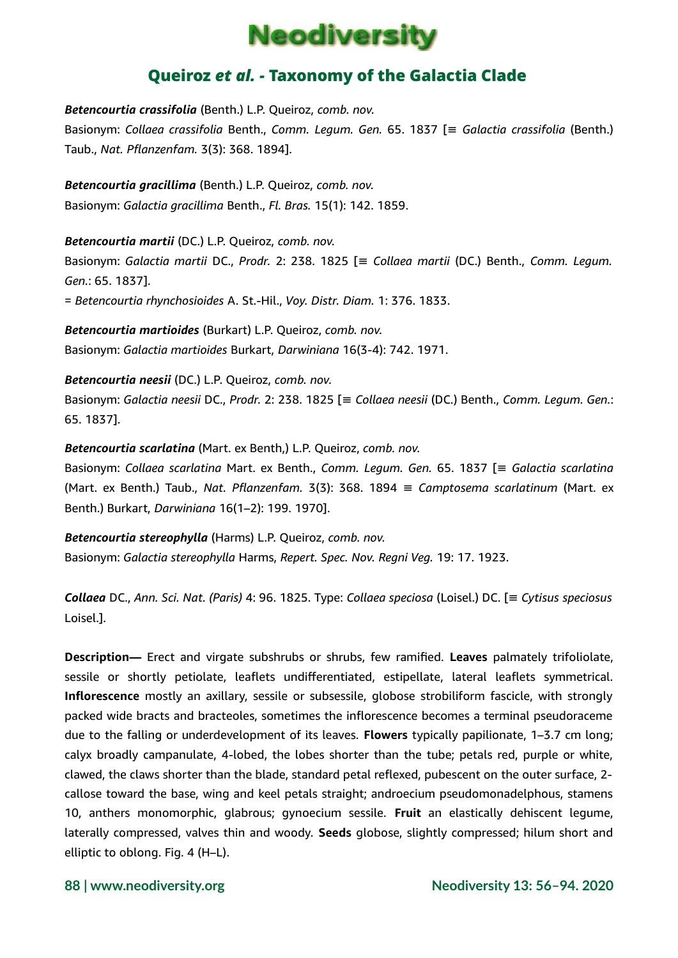# Queiroz *et al. -* Taxonomy of the Galactia Clade

*Betencourtia crassifolia* (Benth.) L.P. Queiroz, *comb. nov.* Basionym: *Collaea crassifolia* Benth., *Comm. Legum. Gen.* 65. 1837 [ ≡ *Galactia crassifolia* (Benth.) Taub., *Nat. Pflanzenfam.* 3(3): 368. 1894].

*Betencourtia gracillima* (Benth.) L.P. Queiroz, *comb. nov.* Basionym: *Galactia gracillima* Benth., *Fl. Bras.* 15(1): 142. 1859.

*Betencourtia martii* (DC.) L.P. Queiroz, *comb. nov.* Basionym: *Galactia martii* DC., *Prodr.* 2: 238. 1825 [ ≡ *Collaea martii* (DC.) Benth., *Comm. Legum. Gen.*: 65. 1837]. = *Betencourtia rhynchosioides* A. St.-Hil., *Voy. Distr. Diam.* 1: 376. 1833.

*Betencourtia martioides* (Burkart) L.P. Queiroz, *comb. nov.* Basionym: *Galactia martioides* Burkart, *Darwiniana* 16(3-4): 742. 1971.

*Betencourtia neesii* (DC.) L.P. Queiroz, *comb. nov.* Basionym: *Galactia neesii* DC., *Prodr.* 2: 238. 1825 [ ≡ *Collaea neesii* (DC.) Benth., *Comm. Legum. Gen.*: 65. 1837].

*Betencourtia scarlatina* (Mart. ex Benth,) L.P. Queiroz, *comb. nov.*

Basionym: *Collaea scarlatina* Mart. ex Benth., *Comm. Legum. Gen.* 65. 1837 [ ≡ *Galactia scarlatina* (Mart. ex Benth.) Taub., *Nat. Pflanzenfam.* 3(3): 368. 1894 ≡ *Camptosema scarlatinum* (Mart. ex Benth.) Burkart, *Darwiniana* 16(1–2): 199. 1970].

*Betencourtia stereophylla* (Harms) L.P. Queiroz, *comb. nov.* Basionym: *Galactia stereophylla* Harms, *Repert. Spec. Nov. Regni Veg.* 19: 17. 1923.

*Collaea* DC., *Ann. Sci. Nat. (Paris)* 4: 96. 1825. Type: *Collaea speciosa* (Loisel.) DC. [ ≡ *Cytisus speciosus* Loisel.].

**Description—** Erect and virgate subshrubs or shrubs, few ramified. **Leaves** palmately trifoliolate, sessile or shortly petiolate, leaflets undifferentiated, estipellate, lateral leaflets symmetrical. **Inflorescence** mostly an axillary, sessile or subsessile, globose strobiliform fascicle, with strongly packed wide bracts and bracteoles, sometimes the inflorescence becomes a terminal pseudoraceme due to the falling or underdevelopment of its leaves. **Flowers** typically papilionate, 1–3.7 cm long; calyx broadly campanulate, 4-lobed, the lobes shorter than the tube; petals red, purple or white, clawed, the claws shorter than the blade, standard petal reflexed, pubescent on the outer surface, 2 callose toward the base, wing and keel petals straight; androecium pseudomonadelphous, stamens 10, anthers monomorphic, glabrous; gynoecium sessile. **Fruit** an elastically dehiscent legume, laterally compressed, valves thin and woody. **Seeds** globose, slightly compressed; hilum short and elliptic to oblong. Fig. 4 (H–L).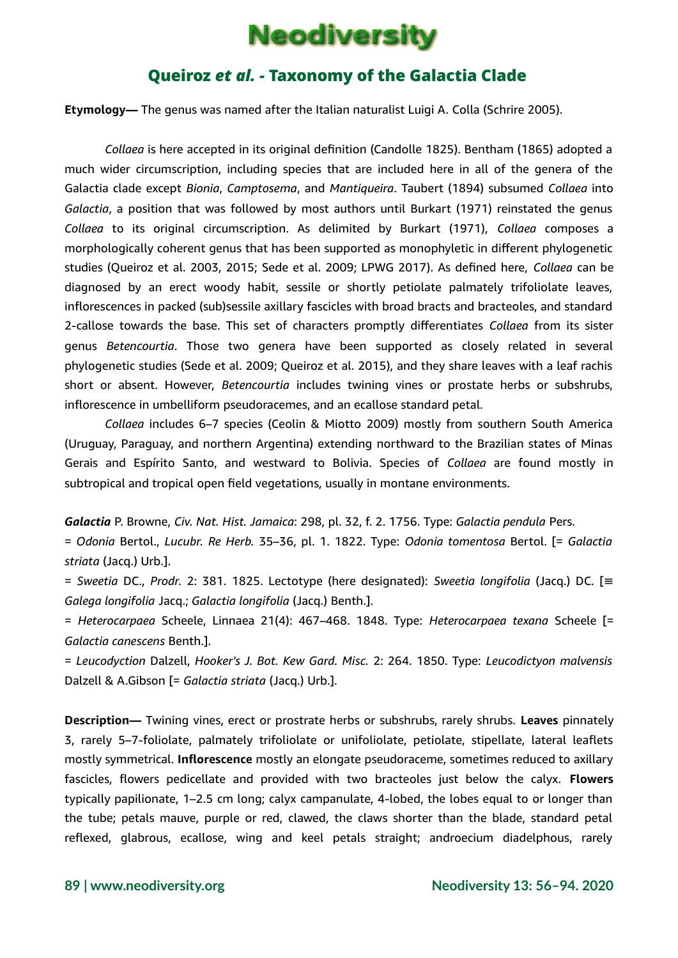

**Etymology—** The genus was named after the Italian naturalist Luigi A. Colla (Schrire 2005).

*Collaea* is here accepted in its original definition (Candolle 1825). Bentham (1865) adopted a much wider circumscription, including species that are included here in all of the genera of the Galactia clade except *Bionia*, *Camptosema*, and *Mantiqueira*. Taubert (1894) subsumed *Collaea* into *Galactia*, a position that was followed by most authors until Burkart (1971) reinstated the genus *Collaea* to its original circumscription. As delimited by Burkart (1971), *Collaea* composes a morphologically coherent genus that has been supported as monophyletic in different phylogenetic studies (Queiroz et al. 2003, 2015; Sede et al. 2009; LPWG 2017). As defined here, *Collaea* can be diagnosed by an erect woody habit, sessile or shortly petiolate palmately trifoliolate leaves, inflorescences in packed (sub)sessile axillary fascicles with broad bracts and bracteoles, and standard 2-callose towards the base. This set of characters promptly differentiates *Collaea* from its sister genus *Betencourtia*. Those two genera have been supported as closely related in several phylogenetic studies (Sede et al. 2009; Queiroz et al. 2015), and they share leaves with a leaf rachis short or absent. However, *Betencourtia* includes twining vines or prostate herbs or subshrubs, inflorescence in umbelliform pseudoracemes, and an ecallose standard petal.

*Collaea* includes 6–7 species (Ceolin & Miotto 2009) mostly from southern South America (Uruguay, Paraguay, and northern Argentina) extending northward to the Brazilian states of Minas Gerais and Espírito Santo, and westward to Bolivia. Species of *Collaea* are found mostly in subtropical and tropical open field vegetations, usually in montane environments.

*Galactia* P. Browne, *Civ. Nat. Hist. Jamaica*: 298, pl. 32, f. 2. 1756. Type: *Galactia pendula* Pers.

= *Odonia* Bertol., *Lucubr. Re Herb.* 35–36, pl. 1. 1822. Type: *Odonia tomentosa* Bertol. [= *Galactia striata* (Jacq.) Urb.].

= *Sweetia* DC., *Prodr.* 2: 381. 1825. Lectotype (here designated): *Sweetia longifolia* (Jacq.) DC. [≡ *Galega longifolia* Jacq.; *Galactia longifolia* (Jacq.) Benth.].

= *Heterocarpaea* Scheele, Linnaea 21(4): 467–468. 1848. Type: *Heterocarpaea texana* Scheele [= *Galactia canescens* Benth.].

= *Leucodyction* Dalzell, *Hooker's J. Bot. Kew Gard. Misc.* 2: 264. 1850. Type: *Leucodictyon malvensis* Dalzell & A.Gibson [= *Galactia striata* (Jacq.) Urb.].

**Description—** Twining vines, erect or prostrate herbs or subshrubs, rarely shrubs. **Leaves** pinnately 3, rarely 5–7-foliolate, palmately trifoliolate or unifoliolate, petiolate, stipellate, lateral leaflets mostly symmetrical. **Inflorescence** mostly an elongate pseudoraceme, sometimes reduced to axillary fascicles, flowers pedicellate and provided with two bracteoles just below the calyx. **Flowers** typically papilionate, 1–2.5 cm long; calyx campanulate, 4-lobed, the lobes equal to or longer than the tube; petals mauve, purple or red, clawed, the claws shorter than the blade, standard petal reflexed, glabrous, ecallose, wing and keel petals straight; androecium diadelphous, rarely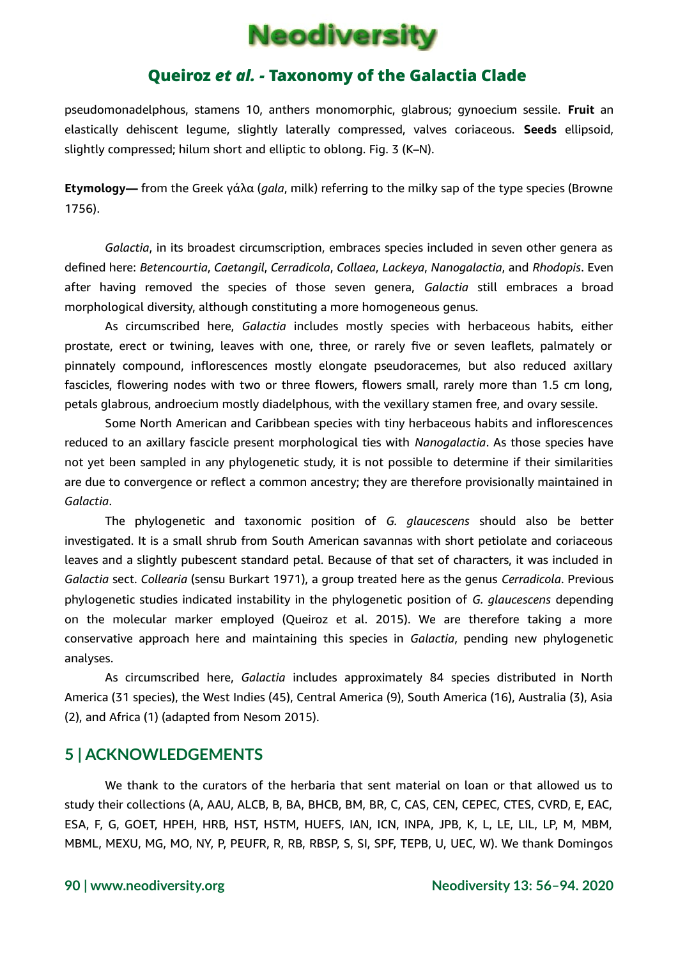# Queiroz *et al. -* Taxonomy of the Galactia Clade

pseudomonadelphous, stamens 10, anthers monomorphic, glabrous; gynoecium sessile. **Fruit** an elastically dehiscent legume, slightly laterally compressed, valves coriaceous. **Seeds** ellipsoid, slightly compressed; hilum short and elliptic to oblong. Fig. 3 (K–N).

**Etymology—** from the Greek γάλα (*gala*, milk) referring to the milky sap of the type species (Browne 1756).

*Galactia*, in its broadest circumscription, embraces species included in seven other genera as defined here: *Betencourtia*, *Caetangil*, *Cerradicola*, *Collaea*, *Lackeya*, *Nanogalactia*, and *Rhodopis*. Even after having removed the species of those seven genera, *Galactia* still embraces a broad morphological diversity, although constituting a more homogeneous genus.

As circumscribed here, *Galactia* includes mostly species with herbaceous habits, either prostate, erect or twining, leaves with one, three, or rarely five or seven leaflets, palmately or pinnately compound, inflorescences mostly elongate pseudoracemes, but also reduced axillary fascicles, flowering nodes with two or three flowers, flowers small, rarely more than 1.5 cm long, petals glabrous, androecium mostly diadelphous, with the vexillary stamen free, and ovary sessile.

Some North American and Caribbean species with tiny herbaceous habits and inflorescences reduced to an axillary fascicle present morphological ties with *Nanogalactia*. As those species have not yet been sampled in any phylogenetic study, it is not possible to determine if their similarities are due to convergence or reflect a common ancestry; they are therefore provisionally maintained in *Galactia*.

The phylogenetic and taxonomic position of *G. glaucescens* should also be better investigated. It is a small shrub from South American savannas with short petiolate and coriaceous leaves and a slightly pubescent standard petal. Because of that set of characters, it was included in *Galactia* sect. *Collearia* (sensu Burkart 1971), a group treated here as the genus *Cerradicola*. Previous phylogenetic studies indicated instability in the phylogenetic position of *G. glaucescens* depending on the molecular marker employed (Queiroz et al. 2015). We are therefore taking a more conservative approach here and maintaining this species in *Galactia*, pending new phylogenetic analyses.

As circumscribed here, *Galactia* includes approximately 84 species distributed in North America (31 species), the West Indies (45), Central America (9), South America (16), Australia (3), Asia (2), and Africa (1) (adapted from Nesom 2015).

## **5 | ACKNOWLEDGEMENTS**

We thank to the curators of the herbaria that sent material on loan or that allowed us to study their collections (A, AAU, ALCB, B, BA, BHCB, BM, BR, C, CAS, CEN, CEPEC, CTES, CVRD, E, EAC, ESA, F, G, GOET, HPEH, HRB, HST, HSTM, HUEFS, IAN, ICN, INPA, JPB, K, L, LE, LIL, LP, M, MBM, MBML, MEXU, MG, MO, NY, P, PEUFR, R, RB, RBSP, S, SI, SPF, TEPB, U, UEC, W). We thank Domingos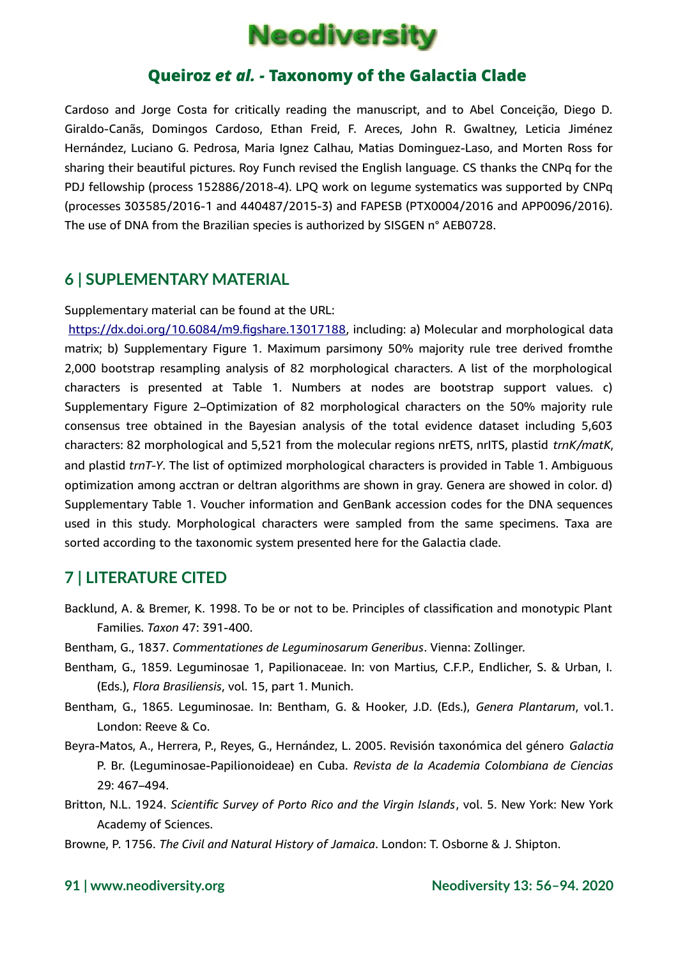

Cardoso and Jorge Costa for critically reading the manuscript, and to Abel Conceição, Diego D. Giraldo-Canãs, Domingos Cardoso, Ethan Freid, F. Areces, John R. Gwaltney, Leticia Jiménez Hernández, Luciano G. Pedrosa, Maria Ignez Calhau, Matias Dominguez-Laso, and Morten Ross for sharing their beautiful pictures. Roy Funch revised the English language. CS thanks the CNPq for the PDJ fellowship (process 152886/2018-4). LPQ work on legume systematics was supported by CNPq (processes 303585/2016-1 and 440487/2015-3) and FAPESB (PTX0004/2016 and APP0096/2016). The use of DNA from the Brazilian species is authorized by SISGEN n° AEB0728.

### **6 | SUPLEMENTARY MATERIAL**

Supplementary material can be found at the URL:

 [https://dx.doi.org/ 10.6084/m9.figshare.13017188,](https://dx.doi.org/10.6084/m9.figshare.13017188) including: a) Molecular and morphological data matrix; b) Supplementary Figure 1. Maximum parsimony 50% majority rule tree derived fromthe 2,000 bootstrap resampling analysis of 82 morphological characters. A list of the morphological characters is presented at Table 1. Numbers at nodes are bootstrap support values. c) Supplementary Figure 2–Optimization of 82 morphological characters on the 50% majority rule consensus tree obtained in the Bayesian analysis of the total evidence dataset including 5,603 characters: 82 morphological and 5,521 from the molecular regions nrETS, nrITS, plastid *trnK/matK*, and plastid *trnT-Y*. The list of optimized morphological characters is provided in Table 1. Ambiguous optimization among acctran or deltran algorithms are shown in gray. Genera are showed in color. d) Supplementary Table 1. Voucher information and GenBank accession codes for the DNA sequences used in this study. Morphological characters were sampled from the same specimens. Taxa are sorted according to the taxonomic system presented here for the Galactia clade.

## **7 | LITERATURE CITED**

- Backlund, A. & Bremer, K. 1998. To be or not to be. Principles of classification and monotypic Plant Families. *Taxon* 47: 391-400.
- Bentham, G., 1837. *Commentationes de Leguminosarum Generibus*. Vienna: Zollinger.
- Bentham, G., 1859. Leguminosae 1, Papilionaceae. In: von Martius, C.F.P., Endlicher, S. & Urban, I. (Eds.), *Flora Brasiliensis*, vol. 15, part 1. Munich.
- Bentham, G., 1865. Leguminosae. In: Bentham, G. & Hooker, J.D. (Eds.), *Genera Plantarum*, vol.1. London: Reeve & Co.
- Beyra-Matos, A., Herrera, P., Reyes, G., Hernández, L. 2005. Revisión taxonómica del género *Galactia* P. Br. (Leguminosae-Papilionoideae) en Cuba. *Revista de la Academia Colombiana de Ciencias* 29: 467–494.
- Britton, N.L. 1924. *Scientific Survey of Porto Rico and the Virgin Islands*, vol. 5. New York: New York Academy of Sciences.

Browne, P. 1756. *The Civil and Natural History of Jamaica*. London: T. Osborne & J. Shipton.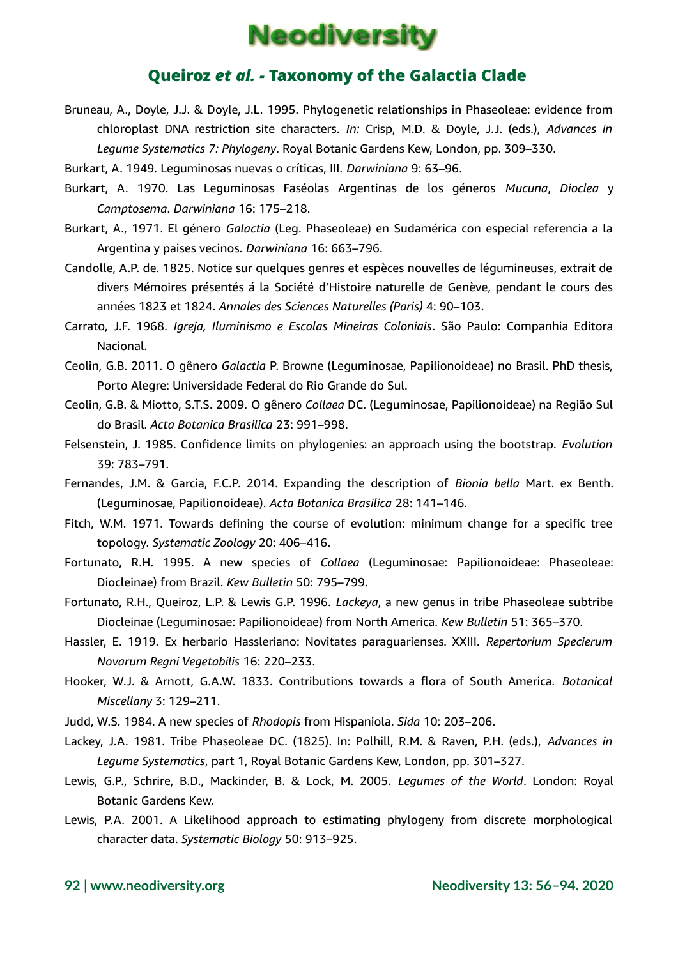

Bruneau, A., Doyle, J.J. & Doyle, J.L. 1995. Phylogenetic relationships in Phaseoleae: evidence from chloroplast DNA restriction site characters. *In:* Crisp, M.D. & Doyle, J.J. (eds.), *Advances in Legume Systematics 7: Phylogeny*. Royal Botanic Gardens Kew, London, pp. 309–330.

Burkart, A. 1949. Leguminosas nuevas o críticas, III. *Darwiniana* 9: 63–96.

- Burkart, A. 1970. Las Leguminosas Faséolas Argentinas de los géneros *Mucuna*, *Dioclea* y *Camptosema*. *Darwiniana* 16: 175–218.
- Burkart, A., 1971. El género *Galactia* (Leg. Phaseoleae) en Sudamérica con especial referencia a la Argentina y paises vecinos. *Darwiniana* 16: 663–796.
- Candolle, A.P. de. 1825. Notice sur quelques genres et espèces nouvelles de légumineuses, extrait de divers Mémoires présentés á la Société d'Histoire naturelle de Genève, pendant le cours des années 1823 et 1824. *Annales des Sciences Naturelles (Paris)* 4: 90–103.
- Carrato, J.F. 1968. *Igreja, Iluminismo e Escolas Mineiras Coloniais*. São Paulo: Companhia Editora Nacional.
- Ceolin, G.B. 2011. O gênero *Galactia* P. Browne (Leguminosae, Papilionoideae) no Brasil. PhD thesis, Porto Alegre: Universidade Federal do Rio Grande do Sul.
- Ceolin, G.B. & Miotto, S.T.S. 2009. O gênero *Collaea* DC. (Leguminosae, Papilionoideae) na Região Sul do Brasil. *Acta Botanica Brasilica* 23: 991–998.
- Felsenstein, J. 1985. Confidence limits on phylogenies: an approach using the bootstrap. *Evolution* 39: 783–791.
- Fernandes, J.M. & Garcia, F.C.P. 2014. Expanding the description of *Bionia bella* Mart. ex Benth. (Leguminosae, Papilionoideae). *Acta Botanica Brasilica* 28: 141–146.
- Fitch, W.M. 1971. Towards defining the course of evolution: minimum change for a specific tree topology. *Systematic Zoology* 20: 406–416.
- Fortunato, R.H. 1995. A new species of *Collaea* (Leguminosae: Papilionoideae: Phaseoleae: Diocleinae) from Brazil. *Kew Bulletin* 50: 795–799.
- Fortunato, R.H., Queiroz, L.P. & Lewis G.P. 1996. *Lackeya*, a new genus in tribe Phaseoleae subtribe Diocleinae (Leguminosae: Papilionoideae) from North America. *Kew Bulletin* 51: 365–370.
- Hassler, E. 1919. Ex herbario Hassleriano: Novitates paraguarienses. XXIII. *Repertorium Specierum Novarum Regni Vegetabilis* 16: 220–233.
- Hooker, W.J. & Arnott, G.A.W. 1833. Contributions towards a flora of South America. *Botanical Miscellany* 3: 129–211.
- Judd, W.S. 1984. A new species of *Rhodopis* from Hispaniola. *Sida* 10: 203–206.
- Lackey, J.A. 1981. Tribe Phaseoleae DC. (1825). In: Polhill, R.M. & Raven, P.H. (eds.), *Advances in Legume Systematics*, part 1, Royal Botanic Gardens Kew, London, pp. 301–327.
- Lewis, G.P., Schrire, B.D., Mackinder, B. & Lock, M. 2005. *Legumes of the World*. London: Royal Botanic Gardens Kew.
- Lewis, P.A. 2001. A Likelihood approach to estimating phylogeny from discrete morphological character data. *Systematic Biology* 50: 913–925.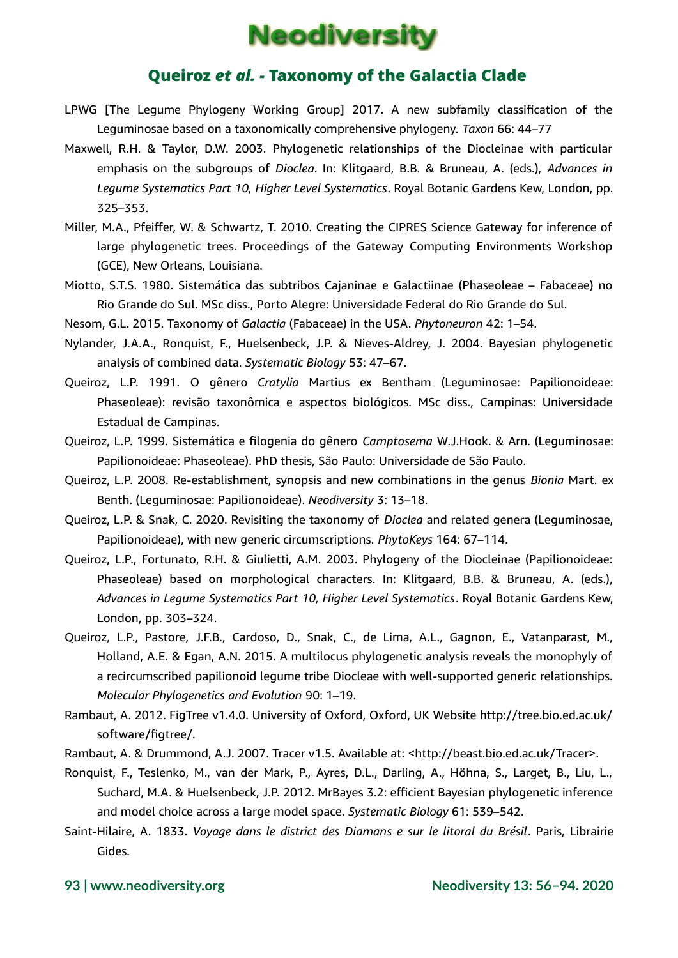

- LPWG [The Legume Phylogeny Working Group] 2017. A new subfamily classification of the Leguminosae based on a taxonomically comprehensive phylogeny. *Taxon* 66: 44–77
- Maxwell, R.H. & Taylor, D.W. 2003. Phylogenetic relationships of the Diocleinae with particular emphasis on the subgroups of *Dioclea*. In: Klitgaard, B.B. & Bruneau, A. (eds.), *Advances in Legume Systematics Part 10, Higher Level Systematics*. Royal Botanic Gardens Kew, London, pp. 325–353.
- Miller, M.A., Pfeiffer, W. & Schwartz, T. 2010. Creating the CIPRES Science Gateway for inference of large phylogenetic trees. Proceedings of the Gateway Computing Environments Workshop (GCE), New Orleans, Louisiana.
- Miotto, S.T.S. 1980. Sistemática das subtribos Cajaninae e Galactiinae (Phaseoleae Fabaceae) no Rio Grande do Sul. MSc diss., Porto Alegre: Universidade Federal do Rio Grande do Sul.
- Nesom, G.L. 2015. Taxonomy of *Galactia* (Fabaceae) in the USA. *Phytoneuron* 42: 1–54.
- Nylander, J.A.A., Ronquist, F., Huelsenbeck, J.P. & Nieves-Aldrey, J. 2004. Bayesian phylogenetic analysis of combined data. *Systematic Biology* 53: 47–67.
- Queiroz, L.P. 1991. O gênero *Cratylia* Martius ex Bentham (Leguminosae: Papilionoideae: Phaseoleae): revisão taxonômica e aspectos biológicos. MSc diss., Campinas: Universidade Estadual de Campinas.
- Queiroz, L.P. 1999. Sistemática e filogenia do gênero *Camptosema* W.J.Hook. & Arn. (Leguminosae: Papilionoideae: Phaseoleae). PhD thesis, São Paulo: Universidade de São Paulo.
- Queiroz, L.P. 2008. Re-establishment, synopsis and new combinations in the genus *Bionia* Mart. ex Benth. (Leguminosae: Papilionoideae). *Neodiversity* 3: 13–18.
- Queiroz, L.P. & Snak, C. 2020. Revisiting the taxonomy of *Dioclea* and related genera (Leguminosae, Papilionoideae), with new generic circumscriptions. *PhytoKeys* 164: 67–114.
- Queiroz, L.P., Fortunato, R.H. & Giulietti, A.M. 2003. Phylogeny of the Diocleinae (Papilionoideae: Phaseoleae) based on morphological characters. In: Klitgaard, B.B. & Bruneau, A. (eds.), *Advances in Legume Systematics Part 10, Higher Level Systematics*. Royal Botanic Gardens Kew, London, pp. 303–324.
- Queiroz, L.P., Pastore, J.F.B., Cardoso, D., Snak, C., de Lima, A.L., Gagnon, E., Vatanparast, M., Holland, A.E. & Egan, A.N. 2015. A multilocus phylogenetic analysis reveals the monophyly of a recircumscribed papilionoid legume tribe Diocleae with well-supported generic relationships. *Molecular Phylogenetics and Evolution* 90: 1–19.
- Rambaut, A. 2012. FigTree v1.4.0. University of Oxford, Oxford, UK Website http://tree.bio.ed.ac.uk/ software/figtree/.
- Rambaut, A. & Drummond, A.J. 2007. Tracer v1.5. Available at: <http://beast.bio.ed.ac.uk/Tracer>.
- Ronquist, F., Teslenko, M., van der Mark, P., Ayres, D.L., Darling, A., Höhna, S., Larget, B., Liu, L., Suchard, M.A. & Huelsenbeck, J.P. 2012. MrBayes 3.2: efficient Bayesian phylogenetic inference and model choice across a large model space. *Systematic Biology* 61: 539–542.
- Saint-Hilaire, A. 1833. *Voyage dans le district des Diamans e sur le litoral du Brésil*. Paris, Librairie Gides.